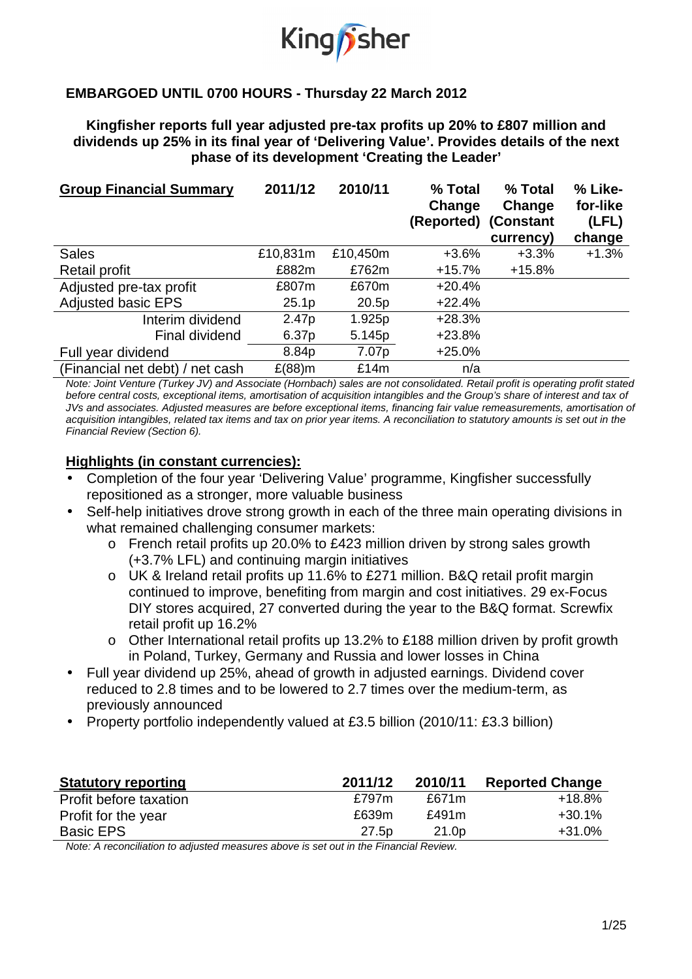

## **EMBARGOED UNTIL 0700 HOURS - Thursday 22 March 2012**

**Kingfisher reports full year adjusted pre-tax profits up 20% to £807 million and dividends up 25% in its final year of 'Delivering Value'. Provides details of the next phase of its development 'Creating the Leader'** 

| <b>Group Financial Summary</b>  | 2011/12           | 2010/11  | % Total<br>Change<br>(Reported) | % Total<br>Change<br>(Constant<br>currency) | % Like-<br>for-like<br>(LFL)<br>change |
|---------------------------------|-------------------|----------|---------------------------------|---------------------------------------------|----------------------------------------|
| <b>Sales</b>                    | £10,831m          | £10,450m | $+3.6%$                         | $+3.3%$                                     | $+1.3%$                                |
| Retail profit                   | £882m             | £762m    | +15.7%                          | $+15.8%$                                    |                                        |
| Adjusted pre-tax profit         | £807m             | £670m    | $+20.4%$                        |                                             |                                        |
| <b>Adjusted basic EPS</b>       | 25.1p             | 20.5p    | $+22.4%$                        |                                             |                                        |
| Interim dividend                | 2.47 <sub>p</sub> | 1.925p   | $+28.3%$                        |                                             |                                        |
| Final dividend                  | 6.37p             | 5.145p   | $+23.8%$                        |                                             |                                        |
| Full year dividend              | 8.84p             | 7.07p    | $+25.0%$                        |                                             |                                        |
| (Financial net debt) / net cash | $E(88)$ m         | £14m     | n/a                             |                                             |                                        |

Note: Joint Venture (Turkey JV) and Associate (Hornbach) sales are not consolidated. Retail profit is operating profit stated before central costs, exceptional items, amortisation of acquisition intangibles and the Group's share of interest and tax of JVs and associates. Adjusted measures are before exceptional items, financing fair value remeasurements, amortisation of acquisition intangibles, related tax items and tax on prior year items. A reconciliation to statutory amounts is set out in the Financial Review (Section 6).

#### **Highlights (in constant currencies):**

- Completion of the four year 'Delivering Value' programme, Kingfisher successfully repositioned as a stronger, more valuable business
- Self-help initiatives drove strong growth in each of the three main operating divisions in what remained challenging consumer markets:
	- o French retail profits up 20.0% to £423 million driven by strong sales growth (+3.7% LFL) and continuing margin initiatives
	- o UK & Ireland retail profits up 11.6% to £271 million. B&Q retail profit margin continued to improve, benefiting from margin and cost initiatives. 29 ex-Focus DIY stores acquired, 27 converted during the year to the B&Q format. Screwfix retail profit up 16.2%
	- o Other International retail profits up 13.2% to £188 million driven by profit growth in Poland, Turkey, Germany and Russia and lower losses in China
- Full year dividend up 25%, ahead of growth in adjusted earnings. Dividend cover reduced to 2.8 times and to be lowered to 2.7 times over the medium-term, as previously announced
- Property portfolio independently valued at £3.5 billion (2010/11: £3.3 billion)

| <b>Statutory reporting</b> | 2011/12           | 2010/11           | <b>Reported Change</b> |
|----------------------------|-------------------|-------------------|------------------------|
| Profit before taxation     | £797m             | £671 $m$          | $+18.8\%$              |
| Profit for the year        | £639m             | £491 $m$          | $+30.1\%$              |
| <b>Basic EPS</b>           | 27.5 <sub>p</sub> | 21.0 <sub>p</sub> | +31.0%                 |

Note: A reconciliation to adjusted measures above is set out in the Financial Review.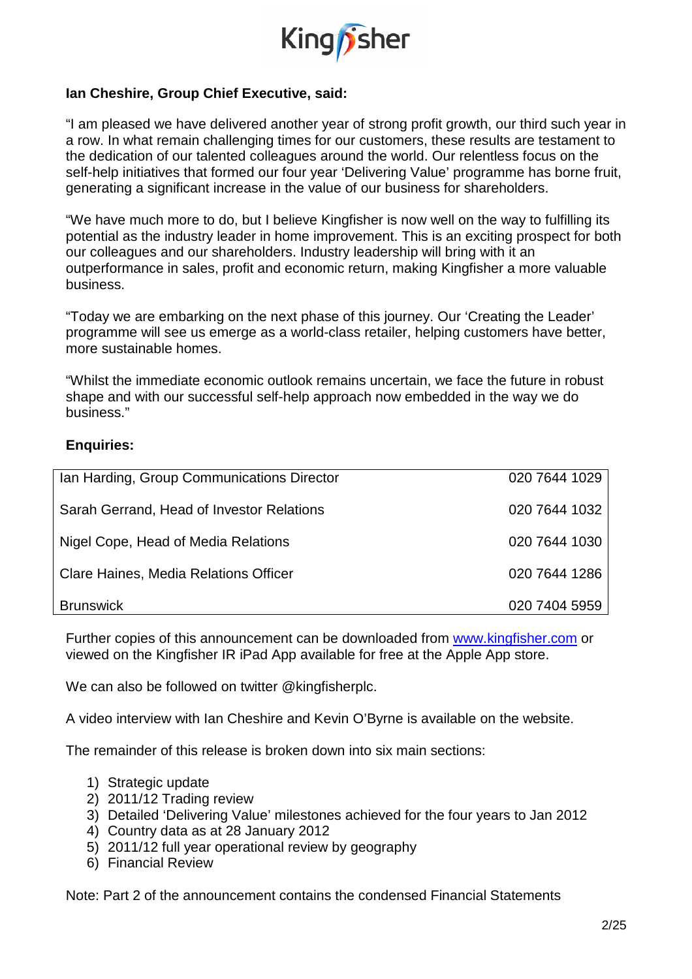

## **Ian Cheshire, Group Chief Executive, said:**

"I am pleased we have delivered another year of strong profit growth, our third such year in a row. In what remain challenging times for our customers, these results are testament to the dedication of our talented colleagues around the world. Our relentless focus on the self-help initiatives that formed our four year 'Delivering Value' programme has borne fruit, generating a significant increase in the value of our business for shareholders.

"We have much more to do, but I believe Kingfisher is now well on the way to fulfilling its potential as the industry leader in home improvement. This is an exciting prospect for both our colleagues and our shareholders. Industry leadership will bring with it an outperformance in sales, profit and economic return, making Kingfisher a more valuable business.

"Today we are embarking on the next phase of this journey. Our 'Creating the Leader' programme will see us emerge as a world-class retailer, helping customers have better, more sustainable homes.

"Whilst the immediate economic outlook remains uncertain, we face the future in robust shape and with our successful self-help approach now embedded in the way we do business."

### **Enquiries:**

| Ian Harding, Group Communications Director | 020 7644 1029 |
|--------------------------------------------|---------------|
| Sarah Gerrand, Head of Investor Relations  | 020 7644 1032 |
| Nigel Cope, Head of Media Relations        | 020 7644 1030 |
| Clare Haines, Media Relations Officer      | 020 7644 1286 |
| <b>Brunswick</b>                           | 020 7404 5959 |

Further copies of this announcement can be downloaded from www.kingfisher.com or viewed on the Kingfisher IR iPad App available for free at the Apple App store.

We can also be followed on twitter @kingfisherplc.

A video interview with Ian Cheshire and Kevin O'Byrne is available on the website.

The remainder of this release is broken down into six main sections:

- 1) Strategic update
- 2) 2011/12 Trading review
- 3) Detailed 'Delivering Value' milestones achieved for the four years to Jan 2012
- 4) Country data as at 28 January 2012
- 5) 2011/12 full year operational review by geography
- 6) Financial Review

Note: Part 2 of the announcement contains the condensed Financial Statements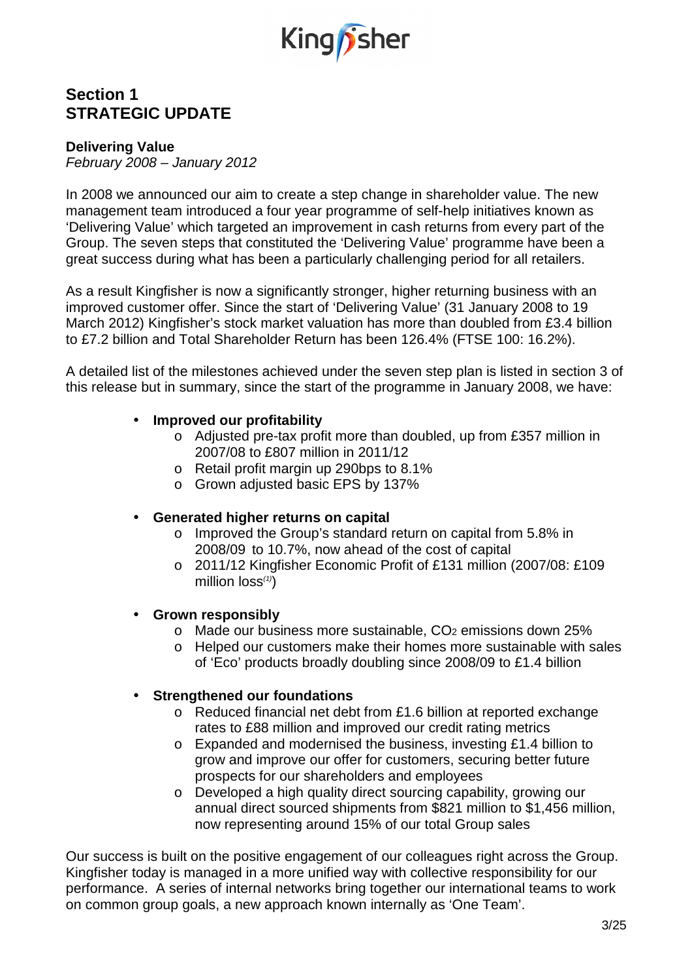

# **Section 1 STRATEGIC UPDATE**

### **Delivering Value**

February 2008 – January 2012

In 2008 we announced our aim to create a step change in shareholder value. The new management team introduced a four year programme of self-help initiatives known as 'Delivering Value' which targeted an improvement in cash returns from every part of the Group. The seven steps that constituted the 'Delivering Value' programme have been a great success during what has been a particularly challenging period for all retailers.

As a result Kingfisher is now a significantly stronger, higher returning business with an improved customer offer. Since the start of 'Delivering Value' (31 January 2008 to 19 March 2012) Kingfisher's stock market valuation has more than doubled from £3.4 billion to £7.2 billion and Total Shareholder Return has been 126.4% (FTSE 100: 16.2%).

A detailed list of the milestones achieved under the seven step plan is listed in section 3 of this release but in summary, since the start of the programme in January 2008, we have:

#### • **Improved our profitability**

- o Adjusted pre-tax profit more than doubled, up from £357 million in 2007/08 to £807 million in 2011/12
- o Retail profit margin up 290bps to 8.1%
- o Grown adjusted basic EPS by 137%

### • **Generated higher returns on capital**

- o Improved the Group's standard return on capital from 5.8% in 2008/09 to 10.7%, now ahead of the cost of capital
- o 2011/12 Kingfisher Economic Profit of £131 million (2007/08: £109 million  $loss^{(1)}$

#### • **Grown responsibly**

- $\circ$  Made our business more sustainable, CO<sub>2</sub> emissions down 25%
- o Helped our customers make their homes more sustainable with sales of 'Eco' products broadly doubling since 2008/09 to £1.4 billion

### • **Strengthened our foundations**

- o Reduced financial net debt from £1.6 billion at reported exchange rates to £88 million and improved our credit rating metrics
- o Expanded and modernised the business, investing £1.4 billion to grow and improve our offer for customers, securing better future prospects for our shareholders and employees
- o Developed a high quality direct sourcing capability, growing our annual direct sourced shipments from \$821 million to \$1,456 million, now representing around 15% of our total Group sales

Our success is built on the positive engagement of our colleagues right across the Group. Kingfisher today is managed in a more unified way with collective responsibility for our performance. A series of internal networks bring together our international teams to work on common group goals, a new approach known internally as 'One Team'.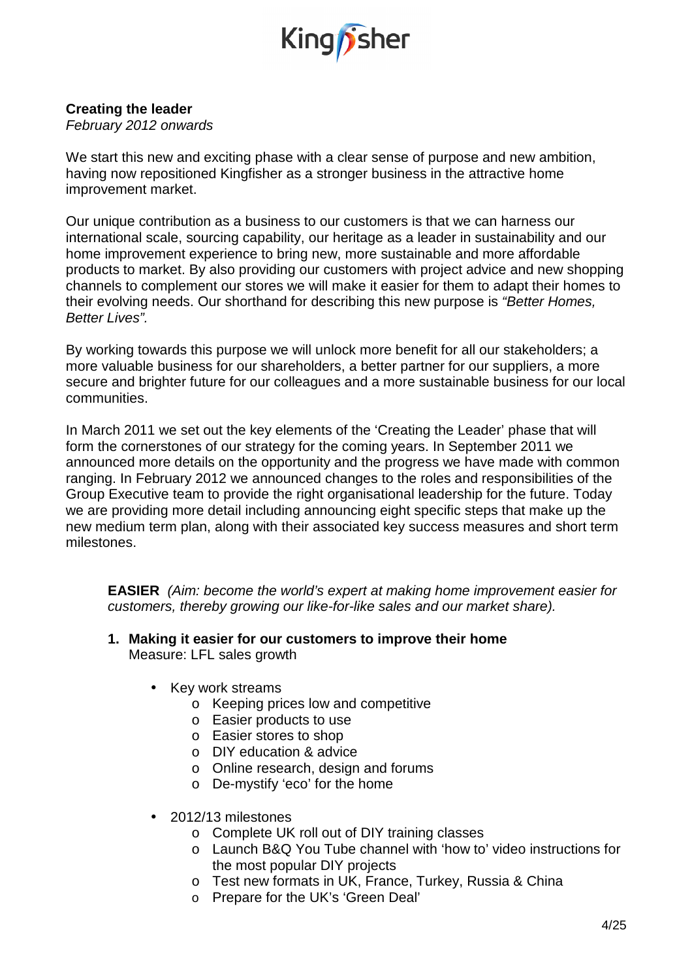

# **Creating the leader**

February 2012 onwards

We start this new and exciting phase with a clear sense of purpose and new ambition, having now repositioned Kingfisher as a stronger business in the attractive home improvement market.

Our unique contribution as a business to our customers is that we can harness our international scale, sourcing capability, our heritage as a leader in sustainability and our home improvement experience to bring new, more sustainable and more affordable products to market. By also providing our customers with project advice and new shopping channels to complement our stores we will make it easier for them to adapt their homes to their evolving needs. Our shorthand for describing this new purpose is "Better Homes, Better Lives".

By working towards this purpose we will unlock more benefit for all our stakeholders; a more valuable business for our shareholders, a better partner for our suppliers, a more secure and brighter future for our colleagues and a more sustainable business for our local communities.

In March 2011 we set out the key elements of the 'Creating the Leader' phase that will form the cornerstones of our strategy for the coming years. In September 2011 we announced more details on the opportunity and the progress we have made with common ranging. In February 2012 we announced changes to the roles and responsibilities of the Group Executive team to provide the right organisational leadership for the future. Today we are providing more detail including announcing eight specific steps that make up the new medium term plan, along with their associated key success measures and short term milestones.

**EASIER** (Aim: become the world's expert at making home improvement easier for customers, thereby growing our like-for-like sales and our market share).

#### **1. Making it easier for our customers to improve their home**  Measure: LFL sales growth

- Key work streams
	- o Keeping prices low and competitive
	- o Easier products to use
	- o Easier stores to shop
	- o DIY education & advice
	- o Online research, design and forums
	- o De-mystify 'eco' for the home
- 2012/13 milestones
	- o Complete UK roll out of DIY training classes
	- o Launch B&Q You Tube channel with 'how to' video instructions for the most popular DIY projects
	- o Test new formats in UK, France, Turkey, Russia & China
	- o Prepare for the UK's 'Green Deal'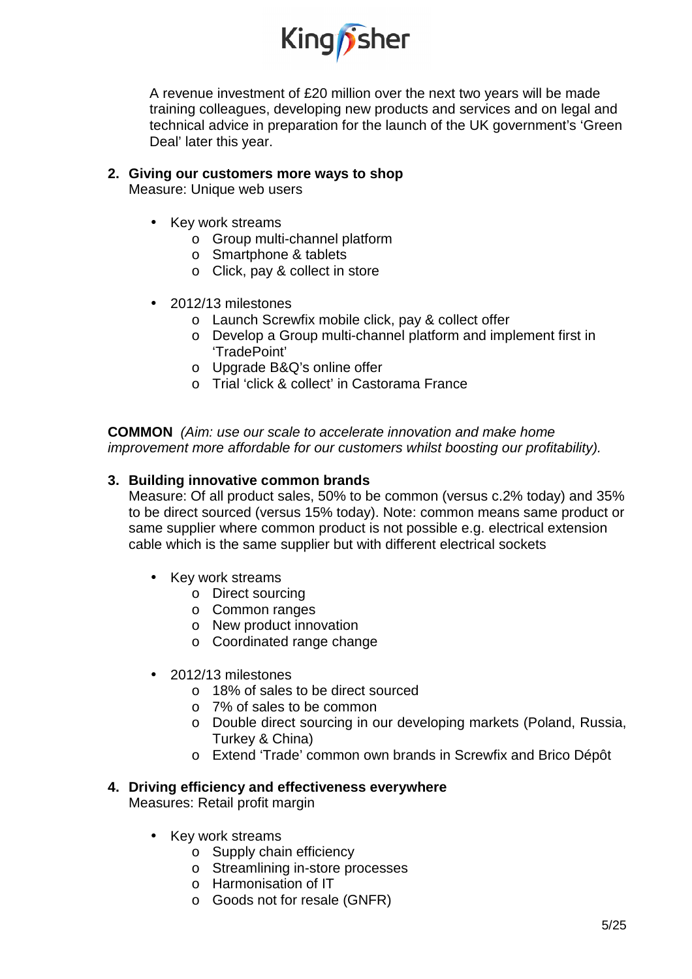

A revenue investment of £20 million over the next two years will be made training colleagues, developing new products and services and on legal and technical advice in preparation for the launch of the UK government's 'Green Deal' later this year.

#### **2. Giving our customers more ways to shop**  Measure: Unique web users

- Key work streams
	- o Group multi-channel platform
	- o Smartphone & tablets
	- o Click, pay & collect in store
- 2012/13 milestones
	- o Launch Screwfix mobile click, pay & collect offer
	- o Develop a Group multi-channel platform and implement first in 'TradePoint'
	- o Upgrade B&Q's online offer
	- o Trial 'click & collect' in Castorama France

**COMMON** (Aim: use our scale to accelerate innovation and make home improvement more affordable for our customers whilst boosting our profitability).

### **3. Building innovative common brands**

Measure: Of all product sales, 50% to be common (versus c.2% today) and 35% to be direct sourced (versus 15% today). Note: common means same product or same supplier where common product is not possible e.g. electrical extension cable which is the same supplier but with different electrical sockets

- Key work streams
	- o Direct sourcing
	- o Common ranges
	- o New product innovation
	- o Coordinated range change
- 2012/13 milestones
	- o 18% of sales to be direct sourced
	- o 7% of sales to be common
	- o Double direct sourcing in our developing markets (Poland, Russia, Turkey & China)
	- o Extend 'Trade' common own brands in Screwfix and Brico Dépôt

### **4. Driving efficiency and effectiveness everywhere**

Measures: Retail profit margin

- Key work streams
	- o Supply chain efficiency
	- o Streamlining in-store processes
	- o Harmonisation of IT
	- o Goods not for resale (GNFR)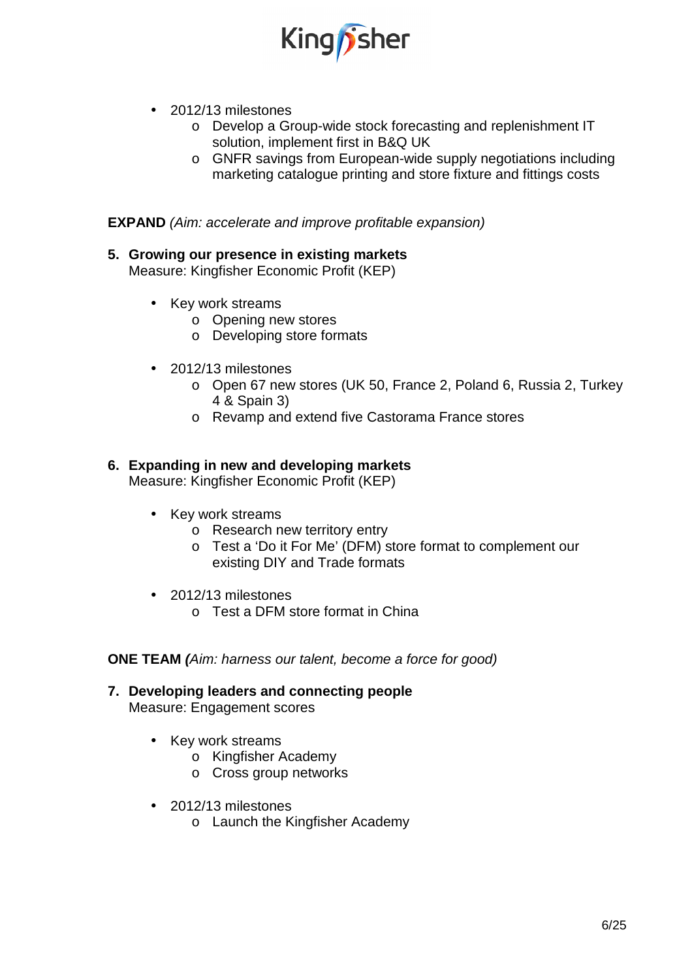

- 2012/13 milestones
	- o Develop a Group-wide stock forecasting and replenishment IT solution, implement first in B&Q UK
	- o GNFR savings from European-wide supply negotiations including marketing catalogue printing and store fixture and fittings costs

**EXPAND** (Aim: accelerate and improve profitable expansion)

- **5. Growing our presence in existing markets**  Measure: Kingfisher Economic Profit (KEP)
	- Key work streams
		- o Opening new stores
		- o Developing store formats
	- 2012/13 milestones
		- o Open 67 new stores (UK 50, France 2, Poland 6, Russia 2, Turkey 4 & Spain 3)
		- o Revamp and extend five Castorama France stores

# **6. Expanding in new and developing markets**

Measure: Kingfisher Economic Profit (KEP)

- Key work streams
	- o Research new territory entry
	- o Test a 'Do it For Me' (DFM) store format to complement our existing DIY and Trade formats
- 2012/13 milestones
	- o Test a DFM store format in China

### **ONE TEAM (**Aim: harness our talent, become a force for good)

- **7. Developing leaders and connecting people**  Measure: Engagement scores
	- Key work streams
		- o Kingfisher Academy
		- o Cross group networks
	- 2012/13 milestones
		- o Launch the Kingfisher Academy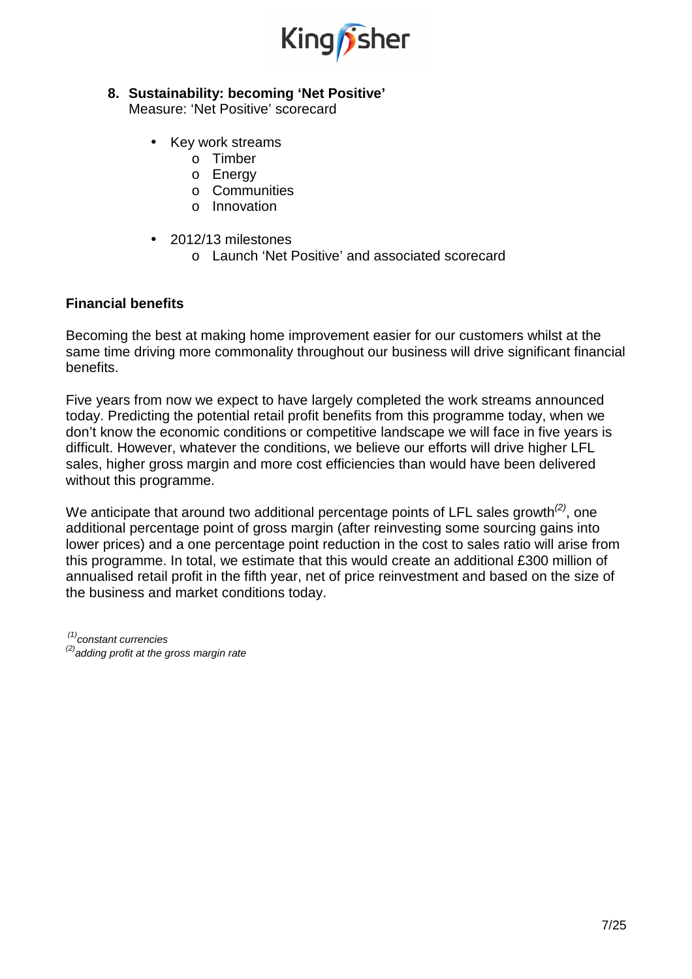

### **8. Sustainability: becoming 'Net Positive'**

Measure: 'Net Positive' scorecard

- Key work streams
	- o Timber
	- o Energy
	- o Communities
	- o Innovation
- 2012/13 milestones
	- o Launch 'Net Positive' and associated scorecard

### **Financial benefits**

Becoming the best at making home improvement easier for our customers whilst at the same time driving more commonality throughout our business will drive significant financial benefits.

Five years from now we expect to have largely completed the work streams announced today. Predicting the potential retail profit benefits from this programme today, when we don't know the economic conditions or competitive landscape we will face in five years is difficult. However, whatever the conditions, we believe our efforts will drive higher LFL sales, higher gross margin and more cost efficiencies than would have been delivered without this programme.

We anticipate that around two additional percentage points of LFL sales growth<sup> $(2)$ </sup>, one additional percentage point of gross margin (after reinvesting some sourcing gains into lower prices) and a one percentage point reduction in the cost to sales ratio will arise from this programme. In total, we estimate that this would create an additional £300 million of annualised retail profit in the fifth year, net of price reinvestment and based on the size of the business and market conditions today.

 $(1)$ constant currencies

 $^{(2)}$ adding profit at the gross margin rate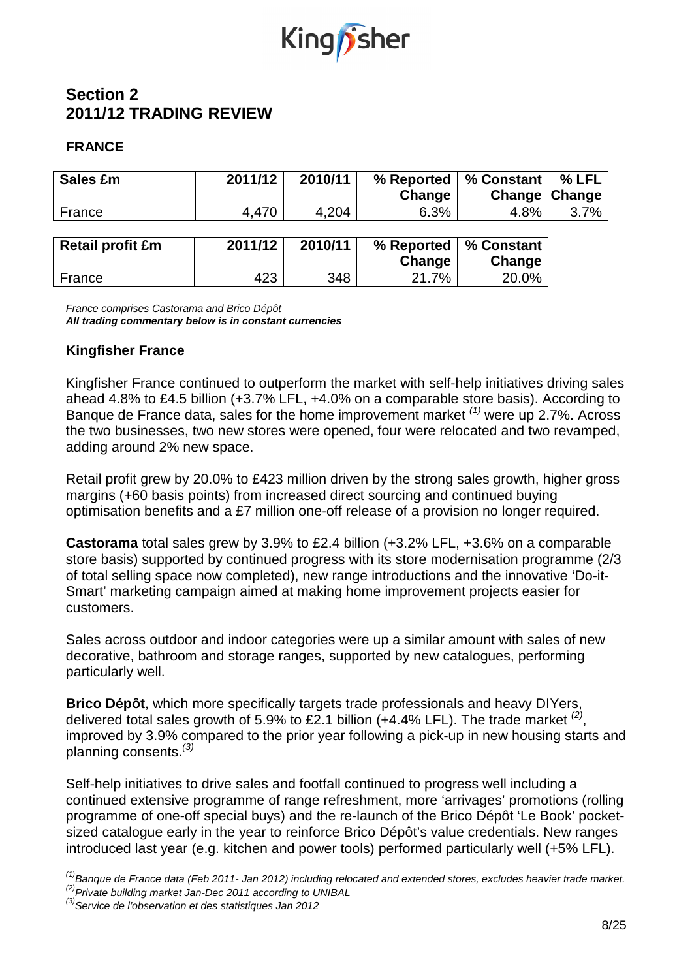

# **Section 2 2011/12 TRADING REVIEW**

### **FRANCE**

| Sales £m                | 2011/12 | 2010/11 | % Reported<br>Change | % Constant<br>Change | $%$ LFL<br><b>Change</b> |
|-------------------------|---------|---------|----------------------|----------------------|--------------------------|
| France                  | 4,470   | 4,204   | 6.3%                 | 4.8%                 | 3.7%                     |
|                         |         |         |                      |                      |                          |
| <b>Retail profit £m</b> | 2011/12 | 2010/11 | % Reported           | % Constant           |                          |
|                         |         |         | Change               | Change               |                          |
| France                  | 423     | 348     | 21.7%                | 20.0%                |                          |

France comprises Castorama and Brico Dépôt **All trading commentary below is in constant currencies** 

### **Kingfisher France**

Kingfisher France continued to outperform the market with self-help initiatives driving sales ahead 4.8% to £4.5 billion (+3.7% LFL, +4.0% on a comparable store basis). According to Banque de France data, sales for the home improvement market  $(1)$  were up 2.7%. Across the two businesses, two new stores were opened, four were relocated and two revamped, adding around 2% new space.

Retail profit grew by 20.0% to £423 million driven by the strong sales growth, higher gross margins (+60 basis points) from increased direct sourcing and continued buying optimisation benefits and a £7 million one-off release of a provision no longer required.

**Castorama** total sales grew by 3.9% to £2.4 billion (+3.2% LFL, +3.6% on a comparable store basis) supported by continued progress with its store modernisation programme (2/3 of total selling space now completed), new range introductions and the innovative 'Do-it-Smart' marketing campaign aimed at making home improvement projects easier for customers.

Sales across outdoor and indoor categories were up a similar amount with sales of new decorative, bathroom and storage ranges, supported by new catalogues, performing particularly well.

**Brico Dépôt**, which more specifically targets trade professionals and heavy DIYers, delivered total sales growth of 5.9% to £2.1 billion (+4.4% LFL). The trade market  $(2)$ , improved by 3.9% compared to the prior year following a pick-up in new housing starts and planning consents. $(3)$ 

Self-help initiatives to drive sales and footfall continued to progress well including a continued extensive programme of range refreshment, more 'arrivages' promotions (rolling programme of one-off special buys) and the re-launch of the Brico Dépôt 'Le Book' pocketsized catalogue early in the year to reinforce Brico Dépôt's value credentials. New ranges introduced last year (e.g. kitchen and power tools) performed particularly well (+5% LFL).

 $^{(1)}$ Banque de France data (Feb 2011- Jan 2012) including relocated and extended stores, excludes heavier trade market.  $^{(2)}$ Private building market Jan-Dec 2011 according to UNIBAL

 $^{(3)}$ Service de l'observation et des statistiques Jan 2012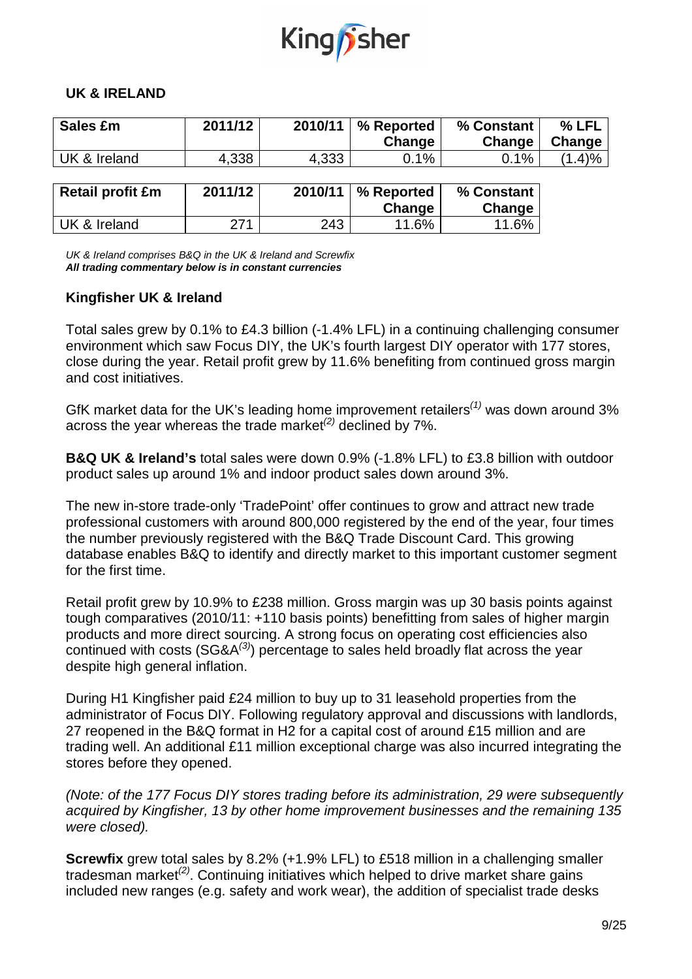

#### **UK & IRELAND**

| Sales £m                | 2011/12 | 2010/11 | % Reported | % Constant | $%$ LFL |
|-------------------------|---------|---------|------------|------------|---------|
|                         |         |         | Change     | Change     | Change  |
| UK & Ireland            | 4,338   | 4,333   | 0.1%       | 0.1%       | (1.4)%  |
|                         |         |         |            |            |         |
| <b>Retail profit £m</b> | 2011/12 | 2010/11 | % Reported | % Constant |         |
|                         |         |         | Change     | Change     |         |
| UK & Ireland            | 271     | 243     | 11.6%      | 11.6%      |         |

UK & Ireland comprises B&Q in the UK & Ireland and Screwfix **All trading commentary below is in constant currencies** 

## **Kingfisher UK & Ireland**

Total sales grew by 0.1% to £4.3 billion (-1.4% LFL) in a continuing challenging consumer environment which saw Focus DIY, the UK's fourth largest DIY operator with 177 stores, close during the year. Retail profit grew by 11.6% benefiting from continued gross margin and cost initiatives.

GfK market data for the UK's leading home improvement retailers<sup>(1)</sup> was down around 3% across the year whereas the trade market<sup>(2)</sup> declined by  $7\%$ .

**B&Q UK & Ireland's** total sales were down 0.9% (-1.8% LFL) to £3.8 billion with outdoor product sales up around 1% and indoor product sales down around 3%.

The new in-store trade-only 'TradePoint' offer continues to grow and attract new trade professional customers with around 800,000 registered by the end of the year, four times the number previously registered with the B&Q Trade Discount Card. This growing database enables B&Q to identify and directly market to this important customer segment for the first time.

Retail profit grew by 10.9% to £238 million. Gross margin was up 30 basis points against tough comparatives (2010/11: +110 basis points) benefitting from sales of higher margin products and more direct sourcing. A strong focus on operating cost efficiencies also continued with costs (SG&A $^{(3)}$ ) percentage to sales held broadly flat across the year despite high general inflation.

During H1 Kingfisher paid £24 million to buy up to 31 leasehold properties from the administrator of Focus DIY. Following regulatory approval and discussions with landlords, 27 reopened in the B&Q format in H2 for a capital cost of around £15 million and are trading well. An additional £11 million exceptional charge was also incurred integrating the stores before they opened.

(Note: of the 177 Focus DIY stores trading before its administration, 29 were subsequently acquired by Kingfisher, 13 by other home improvement businesses and the remaining 135 were closed).

**Screwfix** grew total sales by 8.2% (+1.9% LFL) to £518 million in a challenging smaller tradesman market<sup>(2)</sup>. Continuing initiatives which helped to drive market share gains included new ranges (e.g. safety and work wear), the addition of specialist trade desks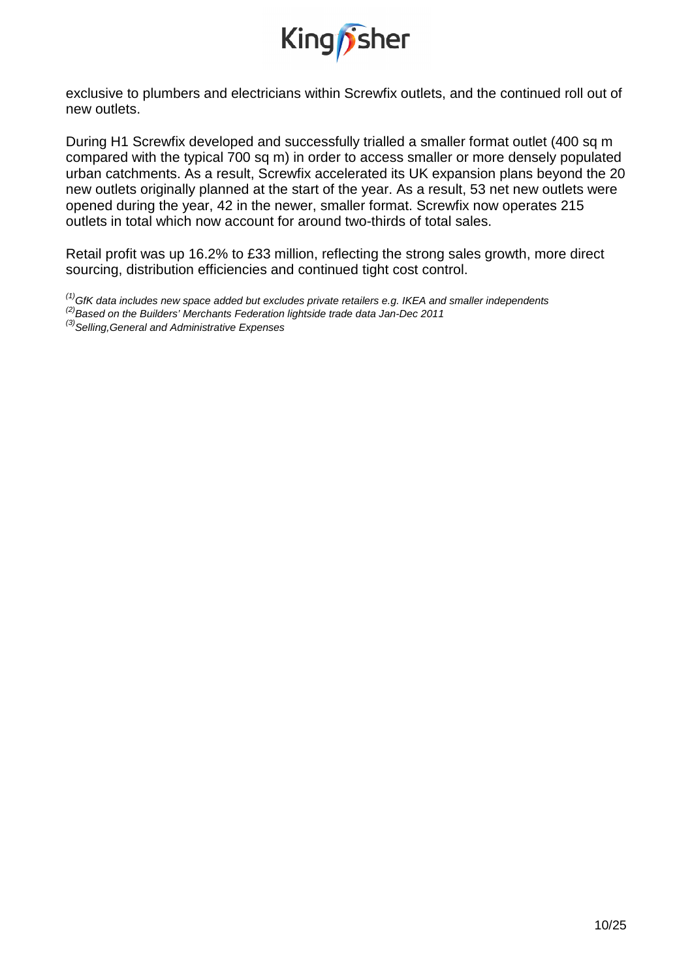

exclusive to plumbers and electricians within Screwfix outlets, and the continued roll out of new outlets.

During H1 Screwfix developed and successfully trialled a smaller format outlet (400 sq m compared with the typical 700 sq m) in order to access smaller or more densely populated urban catchments. As a result, Screwfix accelerated its UK expansion plans beyond the 20 new outlets originally planned at the start of the year. As a result, 53 net new outlets were opened during the year, 42 in the newer, smaller format. Screwfix now operates 215 outlets in total which now account for around two-thirds of total sales.

Retail profit was up 16.2% to £33 million, reflecting the strong sales growth, more direct sourcing, distribution efficiencies and continued tight cost control.

- $<sup>(1)</sup>$ GfK data includes new space added but excludes private retailers e.g. IKEA and smaller independents</sup>
- $^{(2)}$ Based on the Builders' Merchants Federation lightside trade data Jan-Dec 2011
- $^{(3)}$ Selling, General and Administrative Expenses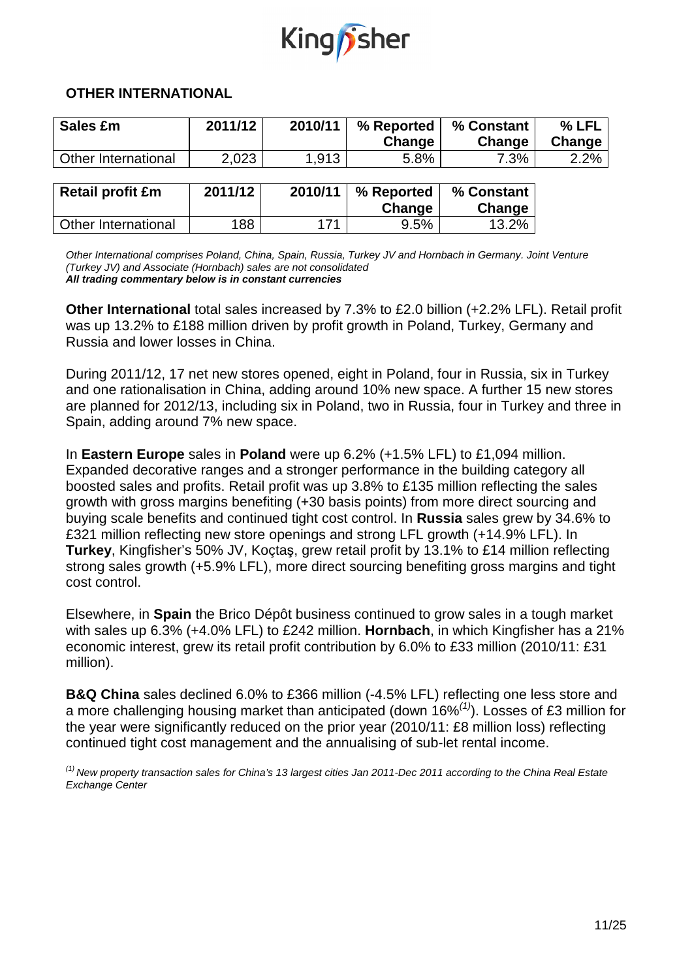

### **OTHER INTERNATIONAL**

| Sales £m                | 2011/12 | 2010/11 | % Reported<br>Change | % Constant<br>Change | $%$ LFL<br>Change |
|-------------------------|---------|---------|----------------------|----------------------|-------------------|
| Other International     | 2,023   | 1,913   | 5.8%                 | 7.3%                 | 2.2%              |
|                         |         |         |                      |                      |                   |
| <b>Retail profit £m</b> | 2011/12 | 2010/11 | % Reported           | % Constant           |                   |
|                         |         |         | Change               | Change               |                   |
| Other International     | 188     | 171     | 9.5%                 | 13.2%                |                   |

Other International comprises Poland, China, Spain, Russia, Turkey JV and Hornbach in Germany. Joint Venture (Turkey JV) and Associate (Hornbach) sales are not consolidated **All trading commentary below is in constant currencies** 

**Other International** total sales increased by 7.3% to £2.0 billion (+2.2% LFL). Retail profit was up 13.2% to £188 million driven by profit growth in Poland, Turkey, Germany and Russia and lower losses in China.

During 2011/12, 17 net new stores opened, eight in Poland, four in Russia, six in Turkey and one rationalisation in China, adding around 10% new space. A further 15 new stores are planned for 2012/13, including six in Poland, two in Russia, four in Turkey and three in Spain, adding around 7% new space.

In **Eastern Europe** sales in **Poland** were up 6.2% (+1.5% LFL) to £1,094 million. Expanded decorative ranges and a stronger performance in the building category all boosted sales and profits. Retail profit was up 3.8% to £135 million reflecting the sales growth with gross margins benefiting (+30 basis points) from more direct sourcing and buying scale benefits and continued tight cost control. In **Russia** sales grew by 34.6% to £321 million reflecting new store openings and strong LFL growth (+14.9% LFL). In **Turkey**, Kingfisher's 50% JV, Koçtaş, grew retail profit by 13.1% to £14 million reflecting strong sales growth (+5.9% LFL), more direct sourcing benefiting gross margins and tight cost control.

Elsewhere, in **Spain** the Brico Dépôt business continued to grow sales in a tough market with sales up 6.3% (+4.0% LFL) to £242 million. **Hornbach**, in which Kingfisher has a 21% economic interest, grew its retail profit contribution by 6.0% to £33 million (2010/11: £31 million).

**B&Q China** sales declined 6.0% to £366 million (-4.5% LFL) reflecting one less store and a more challenging housing market than anticipated (down  $16\frac{1}{10}$ ). Losses of £3 million for the year were significantly reduced on the prior year (2010/11: £8 million loss) reflecting continued tight cost management and the annualising of sub-let rental income.

 $^{(1)}$  New property transaction sales for China's 13 largest cities Jan 2011-Dec 2011 according to the China Real Estate Exchange Center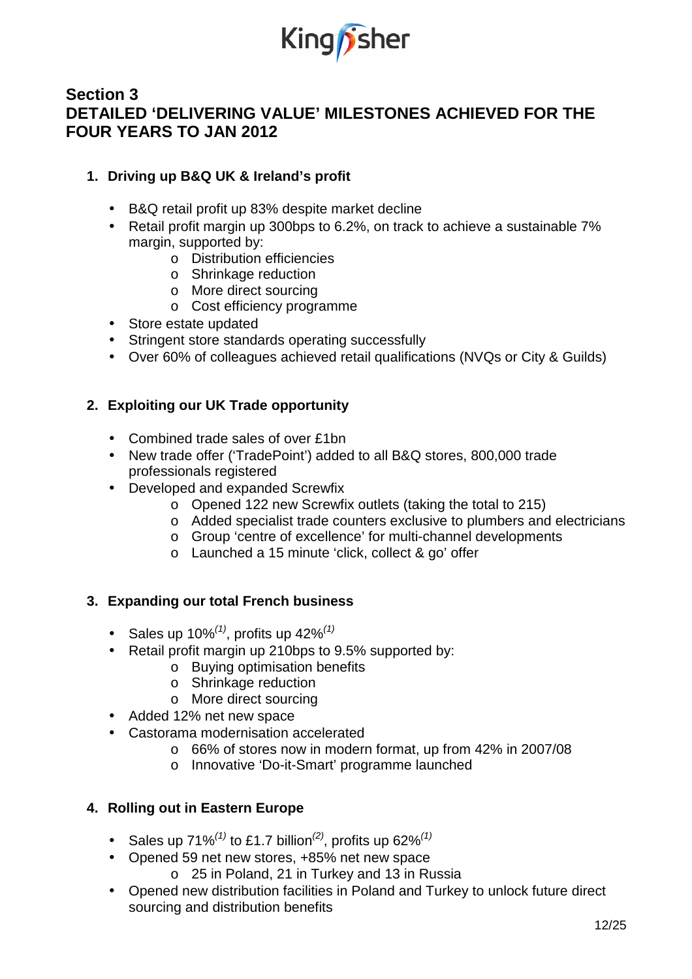

# **Section 3 DETAILED 'DELIVERING VALUE' MILESTONES ACHIEVED FOR THE FOUR YEARS TO JAN 2012**

# **1. Driving up B&Q UK & Ireland's profit**

- B&Q retail profit up 83% despite market decline
- Retail profit margin up 300bps to 6.2%, on track to achieve a sustainable 7% margin, supported by:
	- o Distribution efficiencies
	- o Shrinkage reduction
	- o More direct sourcing
	- o Cost efficiency programme
- Store estate updated
- Stringent store standards operating successfully
- Over 60% of colleagues achieved retail qualifications (NVQs or City & Guilds)

# **2. Exploiting our UK Trade opportunity**

- Combined trade sales of over £1bn
- New trade offer ('TradePoint') added to all B&Q stores, 800,000 trade professionals registered
- Developed and expanded Screwfix
	- o Opened 122 new Screwfix outlets (taking the total to 215)
	- o Added specialist trade counters exclusive to plumbers and electricians
	- o Group 'centre of excellence' for multi-channel developments
	- o Launched a 15 minute 'click, collect & go' offer

# **3. Expanding our total French business**

- Sales up  $10\%^{(1)}$ , profits up  $42\%^{(1)}$
- Retail profit margin up 210bps to 9.5% supported by:
	- o Buying optimisation benefits
		- o Shrinkage reduction
		- o More direct sourcing
- Added 12% net new space
- Castorama modernisation accelerated
	- o 66% of stores now in modern format, up from 42% in 2007/08
	- o Innovative 'Do-it-Smart' programme launched

# **4. Rolling out in Eastern Europe**

- Sales up 71%<sup>(1)</sup> to £1.7 billion<sup>(2)</sup>, profits up 62%<sup>(1)</sup>
- Opened 59 net new stores, +85% net new space
	- o 25 in Poland, 21 in Turkey and 13 in Russia
- Opened new distribution facilities in Poland and Turkey to unlock future direct sourcing and distribution benefits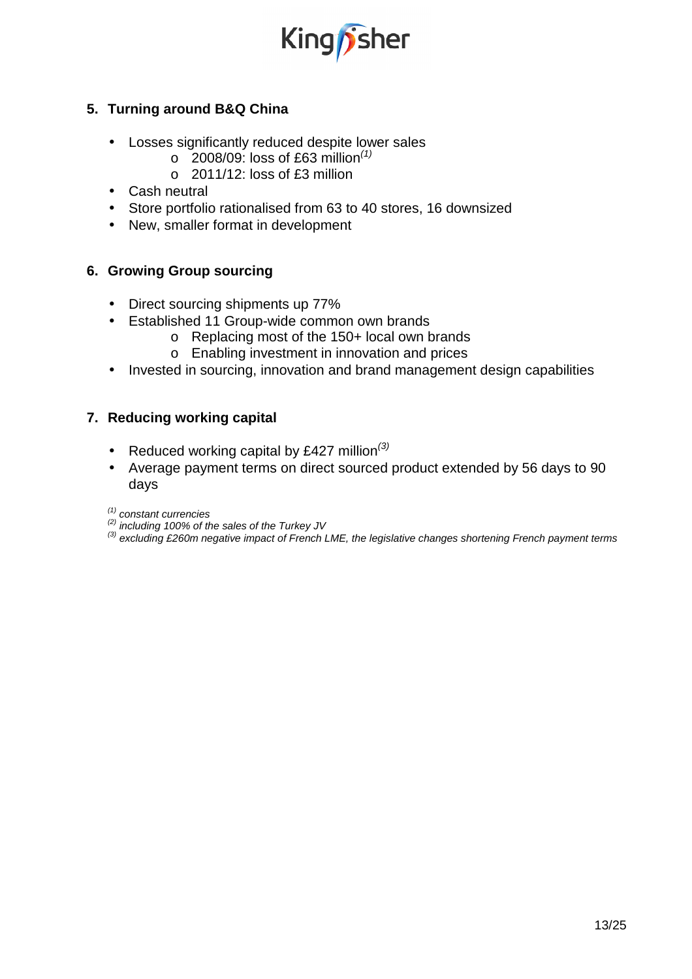

# **5. Turning around B&Q China**

- Losses significantly reduced despite lower sales
	- $\circ$  2008/09: loss of £63 million<sup>(1)</sup>
	- $\circ$  2011/12: loss of £3 million
- Cash neutral
- Store portfolio rationalised from 63 to 40 stores, 16 downsized
- New, smaller format in development

## **6. Growing Group sourcing**

- Direct sourcing shipments up 77%
- Established 11 Group-wide common own brands
	- o Replacing most of the 150+ local own brands
	- o Enabling investment in innovation and prices
- Invested in sourcing, innovation and brand management design capabilities

## **7. Reducing working capital**

- Reduced working capital by £427 million<sup>(3)</sup>
- Average payment terms on direct sourced product extended by 56 days to 90 days

 $(1)$  constant currencies

 $(2)$  including 100% of the sales of the Turkey JV

(3) excluding £260m negative impact of French LME, the legislative changes shortening French payment terms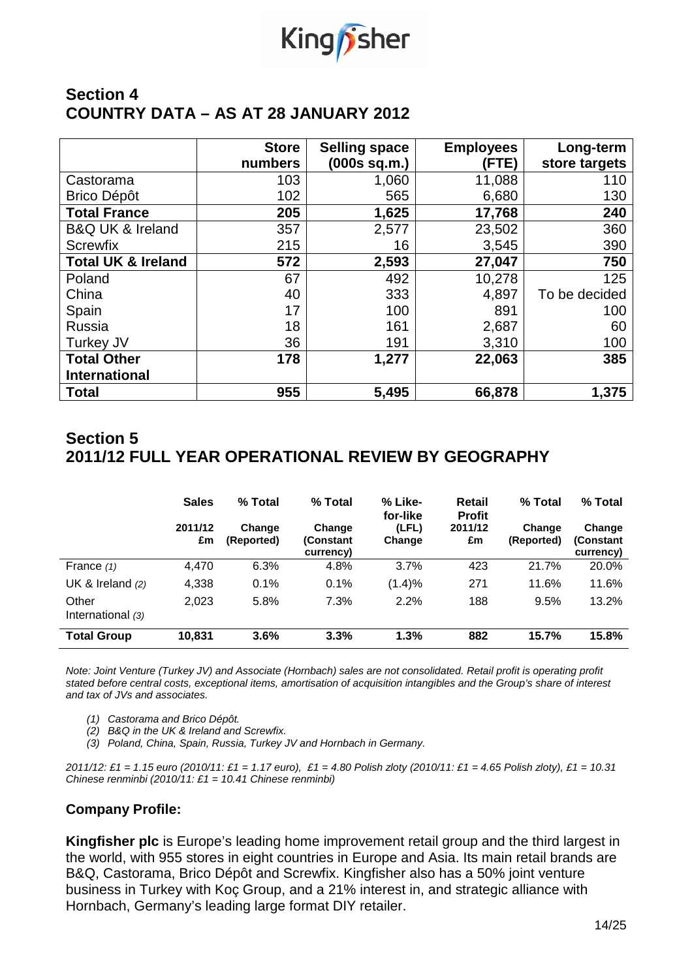

# **Section 4 COUNTRY DATA – AS AT 28 JANUARY 2012**

|                                 | <b>Store</b> | <b>Selling space</b> | <b>Employees</b> | Long-term     |
|---------------------------------|--------------|----------------------|------------------|---------------|
|                                 | numbers      | (000s sq.m.)         | (FTE)            | store targets |
| Castorama                       | 103          | 1,060                | 11,088           | 110           |
| <b>Brico Dépôt</b>              | 102          | 565                  | 6,680            | 130           |
| <b>Total France</b>             | 205          | 1,625                | 17,768           | 240           |
| <b>B&amp;Q UK &amp; Ireland</b> | 357          | 2,577                | 23,502           | 360           |
| <b>Screwfix</b>                 | 215          | 16                   | 3,545            | 390           |
| <b>Total UK &amp; Ireland</b>   | 572          | 2,593                | 27,047           | 750           |
| Poland                          | 67           | 492                  | 10,278           | 125           |
| China                           | 40           | 333                  | 4,897            | To be decided |
| Spain                           | 17           | 100                  | 891              | 100           |
| Russia                          | 18           | 161                  | 2,687            | 60            |
| Turkey JV                       | 36           | 191                  | 3,310            | 100           |
| <b>Total Other</b>              | 178          | 1,277                | 22,063           | 385           |
| <b>International</b>            |              |                      |                  |               |
| <b>Total</b>                    | 955          | 5,495                | 66,878           | 1,375         |

# **Section 5 2011/12 FULL YEAR OPERATIONAL REVIEW BY GEOGRAPHY**

|                            | <b>Sales</b>  | % Total              | % Total                          | % Like-<br>for-like | Retail<br><b>Profit</b> | % Total              | % Total                          |
|----------------------------|---------------|----------------------|----------------------------------|---------------------|-------------------------|----------------------|----------------------------------|
|                            | 2011/12<br>£m | Change<br>(Reported) | Change<br>(Constant<br>currency) | (LFL)<br>Change     | 2011/12<br>£m           | Change<br>(Reported) | Change<br>(Constant<br>currency) |
| France $(1)$               | 4,470         | 6.3%                 | 4.8%                             | 3.7%                | 423                     | 21.7%                | 20.0%                            |
| UK & Ireland $(2)$         | 4,338         | 0.1%                 | 0.1%                             | (1.4)%              | 271                     | 11.6%                | 11.6%                            |
| Other<br>International (3) | 2,023         | 5.8%                 | 7.3%                             | 2.2%                | 188                     | 9.5%                 | 13.2%                            |
| <b>Total Group</b>         | 10,831        | 3.6%                 | 3.3%                             | 1.3%                | 882                     | 15.7%                | 15.8%                            |

Note: Joint Venture (Turkey JV) and Associate (Hornbach) sales are not consolidated. Retail profit is operating profit stated before central costs, exceptional items, amortisation of acquisition intangibles and the Group's share of interest and tax of JVs and associates.

- (1) Castorama and Brico Dépôt.
- (2) B&Q in the UK & Ireland and Screwfix.
- (3) Poland, China, Spain, Russia, Turkey JV and Hornbach in Germany.

2011/12:  $£1 = 1.15$  euro (2010/11:  $£1 = 1.17$  euro),  $£1 = 4.80$  Polish zloty (2010/11:  $£1 = 4.65$  Polish zloty),  $£1 = 10.31$ Chinese renminbi (2010/11: £1 = 10.41 Chinese renminbi)

### **Company Profile:**

**Kingfisher plc** is Europe's leading home improvement retail group and the third largest in the world, with 955 stores in eight countries in Europe and Asia. Its main retail brands are B&Q, Castorama, Brico Dépôt and Screwfix. Kingfisher also has a 50% joint venture business in Turkey with Koç Group, and a 21% interest in, and strategic alliance with Hornbach, Germany's leading large format DIY retailer.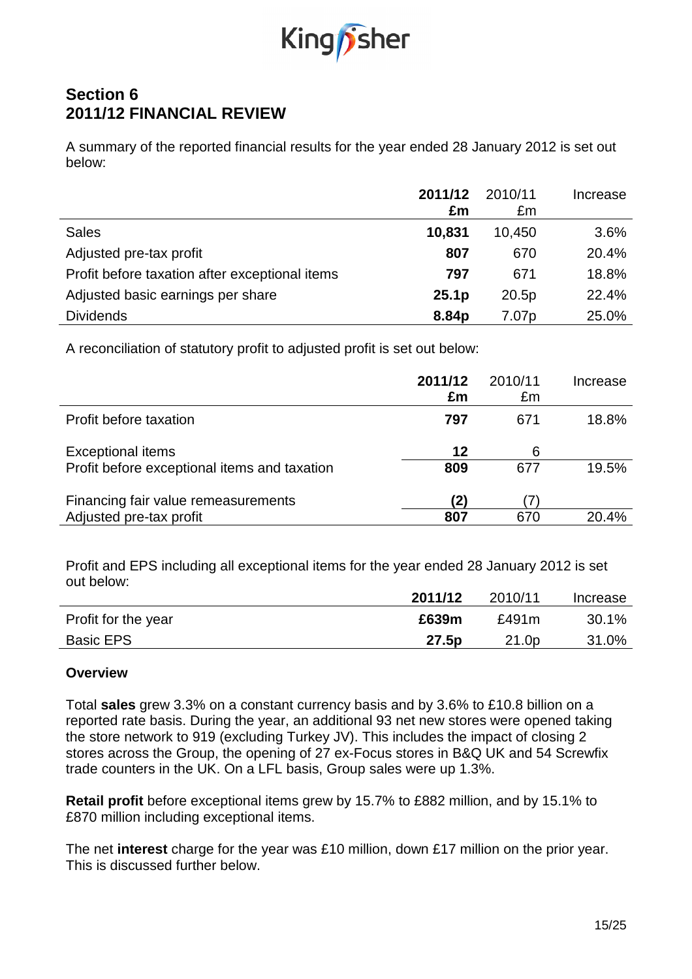

# **Section 6 2011/12 FINANCIAL REVIEW**

A summary of the reported financial results for the year ended 28 January 2012 is set out below:

|                                                | 2011/12<br>£m     | 2010/11<br>£m     | Increase |
|------------------------------------------------|-------------------|-------------------|----------|
| <b>Sales</b>                                   | 10,831            | 10.450            | 3.6%     |
| Adjusted pre-tax profit                        | 807               | 670               | 20.4%    |
| Profit before taxation after exceptional items | 797               | 671               | 18.8%    |
| Adjusted basic earnings per share              | 25.1 <sub>p</sub> | 20.5p             | 22.4%    |
| <b>Dividends</b>                               | 8.84p             | 7.07 <sub>p</sub> | 25.0%    |

A reconciliation of statutory profit to adjusted profit is set out below:

|                                                                          | 2011/12<br>£m | 2010/11<br>£m | Increase |
|--------------------------------------------------------------------------|---------------|---------------|----------|
| Profit before taxation                                                   | 797           | 671           | 18.8%    |
| <b>Exceptional items</b><br>Profit before exceptional items and taxation | 12<br>809     | 6<br>677      | 19.5%    |
| Financing fair value remeasurements                                      | (2)           |               |          |
| Adjusted pre-tax profit                                                  | 807           | 670           | 20.4%    |

Profit and EPS including all exceptional items for the year ended 28 January 2012 is set out below:

|                     | 2011/12 | 2010/11           | Increase |
|---------------------|---------|-------------------|----------|
| Profit for the year | £639m   | f491m             | 30.1%    |
| <b>Basic EPS</b>    | 27.5p   | 21.0 <sub>p</sub> | 31.0%    |

### **Overview**

Total **sales** grew 3.3% on a constant currency basis and by 3.6% to £10.8 billion on a reported rate basis. During the year, an additional 93 net new stores were opened taking the store network to 919 (excluding Turkey JV). This includes the impact of closing 2 stores across the Group, the opening of 27 ex-Focus stores in B&Q UK and 54 Screwfix trade counters in the UK. On a LFL basis, Group sales were up 1.3%.

**Retail profit** before exceptional items grew by 15.7% to £882 million, and by 15.1% to £870 million including exceptional items.

The net **interest** charge for the year was £10 million, down £17 million on the prior year. This is discussed further below.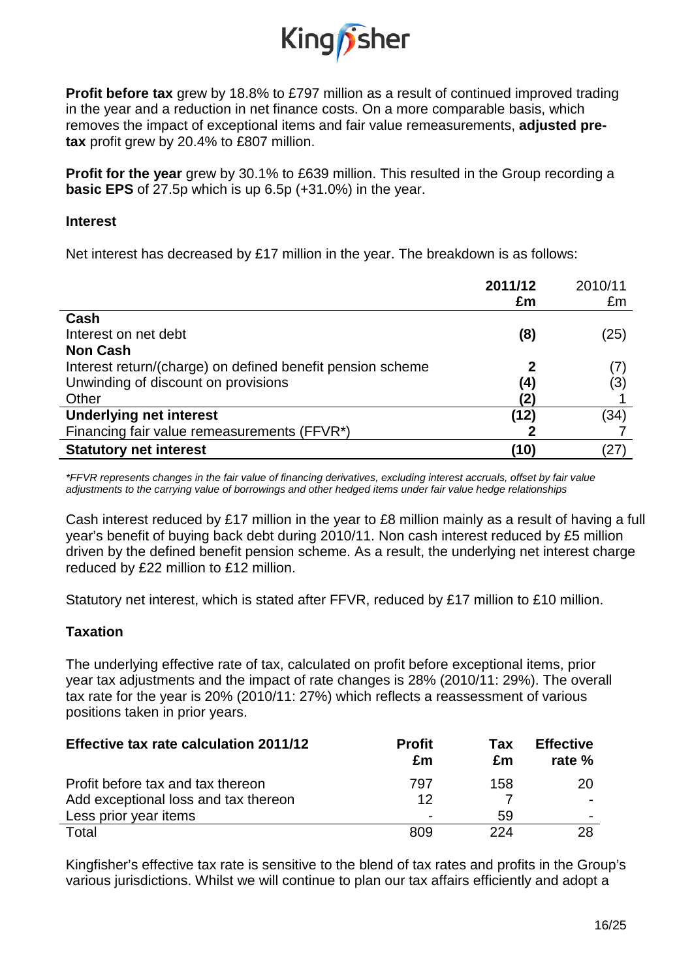

**Profit before tax** grew by 18.8% to £797 million as a result of continued improved trading in the year and a reduction in net finance costs. On a more comparable basis, which removes the impact of exceptional items and fair value remeasurements, **adjusted pretax** profit grew by 20.4% to £807 million.

**Profit for the year** grew by 30.1% to £639 million. This resulted in the Group recording a **basic EPS** of 27.5p which is up 6.5p (+31.0%) in the year.

#### **Interest**

Net interest has decreased by £17 million in the year. The breakdown is as follows:

|                                                            | 2011/12<br>£m | 2010/11<br>£m |
|------------------------------------------------------------|---------------|---------------|
| Cash                                                       |               |               |
| Interest on net debt                                       | (8)           | (25)          |
| <b>Non Cash</b>                                            |               |               |
| Interest return/(charge) on defined benefit pension scheme | 2             | (7)           |
| Unwinding of discount on provisions                        | (4)           | (3)           |
| Other                                                      | (2)           |               |
| <b>Underlying net interest</b>                             | (12)          | (34)          |
| Financing fair value remeasurements (FFVR*)                |               |               |
| <b>Statutory net interest</b>                              | (10)          | (27           |

\*FFVR represents changes in the fair value of financing derivatives, excluding interest accruals, offset by fair value adjustments to the carrying value of borrowings and other hedged items under fair value hedge relationships

Cash interest reduced by £17 million in the year to £8 million mainly as a result of having a full year's benefit of buying back debt during 2010/11. Non cash interest reduced by £5 million driven by the defined benefit pension scheme. As a result, the underlying net interest charge reduced by £22 million to £12 million.

Statutory net interest, which is stated after FFVR, reduced by £17 million to £10 million.

### **Taxation**

The underlying effective rate of tax, calculated on profit before exceptional items, prior year tax adjustments and the impact of rate changes is 28% (2010/11: 29%). The overall tax rate for the year is 20% (2010/11: 27%) which reflects a reassessment of various positions taken in prior years.

| <b>Effective tax rate calculation 2011/12</b> | <b>Profit</b><br>£m | Tax<br>£m | <b>Effective</b><br>rate $%$ |
|-----------------------------------------------|---------------------|-----------|------------------------------|
| Profit before tax and tax thereon             | 797                 | 158       | 20                           |
| Add exceptional loss and tax thereon          | 12                  |           |                              |
| Less prior year items                         |                     | 59        | $\overline{\phantom{0}}$     |
| Total                                         | 809                 | 224       | 28                           |

Kingfisher's effective tax rate is sensitive to the blend of tax rates and profits in the Group's various jurisdictions. Whilst we will continue to plan our tax affairs efficiently and adopt a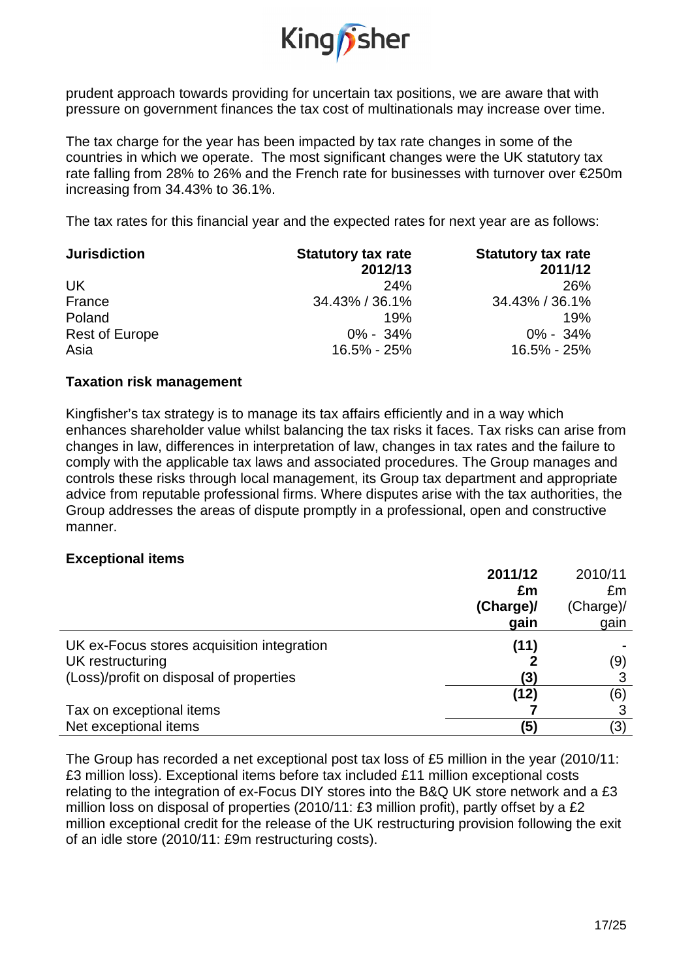

prudent approach towards providing for uncertain tax positions, we are aware that with pressure on government finances the tax cost of multinationals may increase over time.

The tax charge for the year has been impacted by tax rate changes in some of the countries in which we operate. The most significant changes were the UK statutory tax rate falling from 28% to 26% and the French rate for businesses with turnover over €250m increasing from 34.43% to 36.1%.

The tax rates for this financial year and the expected rates for next year are as follows:

| <b>Jurisdiction</b>   | <b>Statutory tax rate</b> | <b>Statutory tax rate</b> |  |  |
|-----------------------|---------------------------|---------------------------|--|--|
|                       | 2012/13                   | 2011/12                   |  |  |
| <b>UK</b>             | 24%                       | 26%                       |  |  |
| France                | 34.43% / 36.1%            | 34.43% / 36.1%            |  |  |
| Poland                | 19%                       | 19%                       |  |  |
| <b>Rest of Europe</b> | $0\% - 34\%$              | $0\% - 34\%$              |  |  |
| Asia                  | 16.5% - 25%               | 16.5% - 25%               |  |  |

### **Taxation risk management**

Kingfisher's tax strategy is to manage its tax affairs efficiently and in a way which enhances shareholder value whilst balancing the tax risks it faces. Tax risks can arise from changes in law, differences in interpretation of law, changes in tax rates and the failure to comply with the applicable tax laws and associated procedures. The Group manages and controls these risks through local management, its Group tax department and appropriate advice from reputable professional firms. Where disputes arise with the tax authorities, the Group addresses the areas of dispute promptly in a professional, open and constructive manner.

#### **Exceptional items**

|                                            | 2011/12   | 2010/11  |
|--------------------------------------------|-----------|----------|
|                                            | £m        | £m       |
|                                            | (Charge)/ | (Change) |
|                                            | gain      | gain     |
| UK ex-Focus stores acquisition integration | (11)      |          |
| UK restructuring                           |           | (9)      |
| (Loss)/profit on disposal of properties    | (3)       |          |
|                                            | (12)      | (6)      |
| Tax on exceptional items                   |           |          |
| Net exceptional items                      | (5)       | (3)      |

The Group has recorded a net exceptional post tax loss of £5 million in the year (2010/11: £3 million loss). Exceptional items before tax included £11 million exceptional costs relating to the integration of ex-Focus DIY stores into the B&Q UK store network and a £3 million loss on disposal of properties (2010/11: £3 million profit), partly offset by a £2 million exceptional credit for the release of the UK restructuring provision following the exit of an idle store (2010/11: £9m restructuring costs).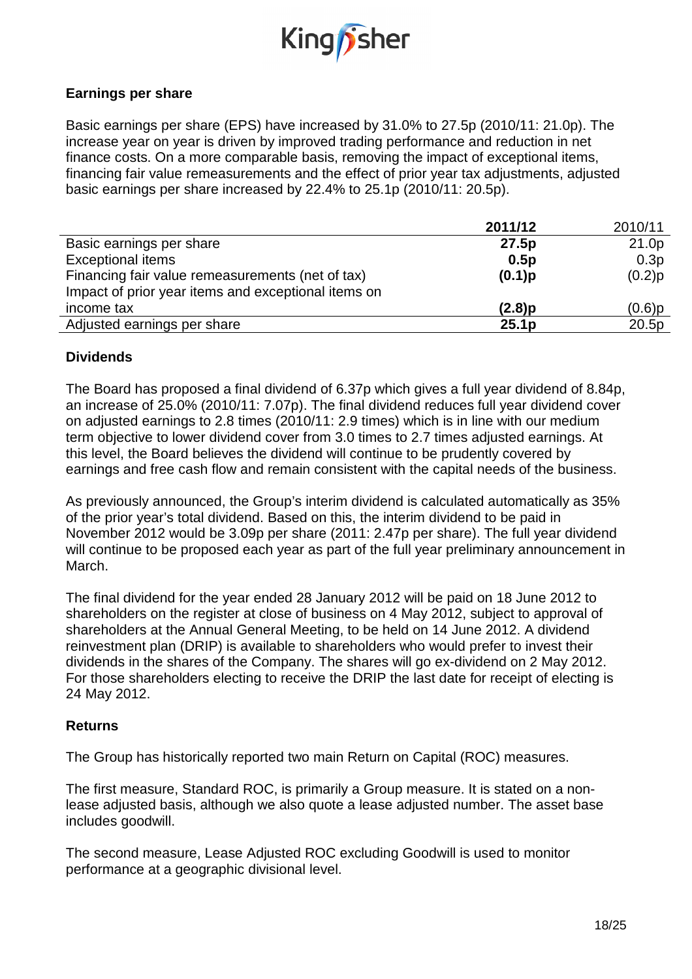

### **Earnings per share**

Basic earnings per share (EPS) have increased by 31.0% to 27.5p (2010/11: 21.0p). The increase year on year is driven by improved trading performance and reduction in net finance costs. On a more comparable basis, removing the impact of exceptional items, financing fair value remeasurements and the effect of prior year tax adjustments, adjusted basic earnings per share increased by 22.4% to 25.1p (2010/11: 20.5p).

|                                                     | 2011/12           | 2010/11 |
|-----------------------------------------------------|-------------------|---------|
| Basic earnings per share                            | 27.5p             | 21.0p   |
| <b>Exceptional items</b>                            | 0.5p              | 0.3p    |
| Financing fair value remeasurements (net of tax)    | (0.1)p            | (0.2)p  |
| Impact of prior year items and exceptional items on |                   |         |
| income tax                                          | (2.8)p            | (0.6)p  |
| Adjusted earnings per share                         | 25.1 <sub>p</sub> | 20.5p   |

### **Dividends**

The Board has proposed a final dividend of 6.37p which gives a full year dividend of 8.84p, an increase of 25.0% (2010/11: 7.07p). The final dividend reduces full year dividend cover on adjusted earnings to 2.8 times (2010/11: 2.9 times) which is in line with our medium term objective to lower dividend cover from 3.0 times to 2.7 times adjusted earnings. At this level, the Board believes the dividend will continue to be prudently covered by earnings and free cash flow and remain consistent with the capital needs of the business.

As previously announced, the Group's interim dividend is calculated automatically as 35% of the prior year's total dividend. Based on this, the interim dividend to be paid in November 2012 would be 3.09p per share (2011: 2.47p per share). The full year dividend will continue to be proposed each year as part of the full year preliminary announcement in March.

The final dividend for the year ended 28 January 2012 will be paid on 18 June 2012 to shareholders on the register at close of business on 4 May 2012, subject to approval of shareholders at the Annual General Meeting, to be held on 14 June 2012. A dividend reinvestment plan (DRIP) is available to shareholders who would prefer to invest their dividends in the shares of the Company. The shares will go ex-dividend on 2 May 2012. For those shareholders electing to receive the DRIP the last date for receipt of electing is 24 May 2012.

### **Returns**

The Group has historically reported two main Return on Capital (ROC) measures.

The first measure, Standard ROC, is primarily a Group measure. It is stated on a nonlease adjusted basis, although we also quote a lease adjusted number. The asset base includes goodwill.

The second measure, Lease Adjusted ROC excluding Goodwill is used to monitor performance at a geographic divisional level.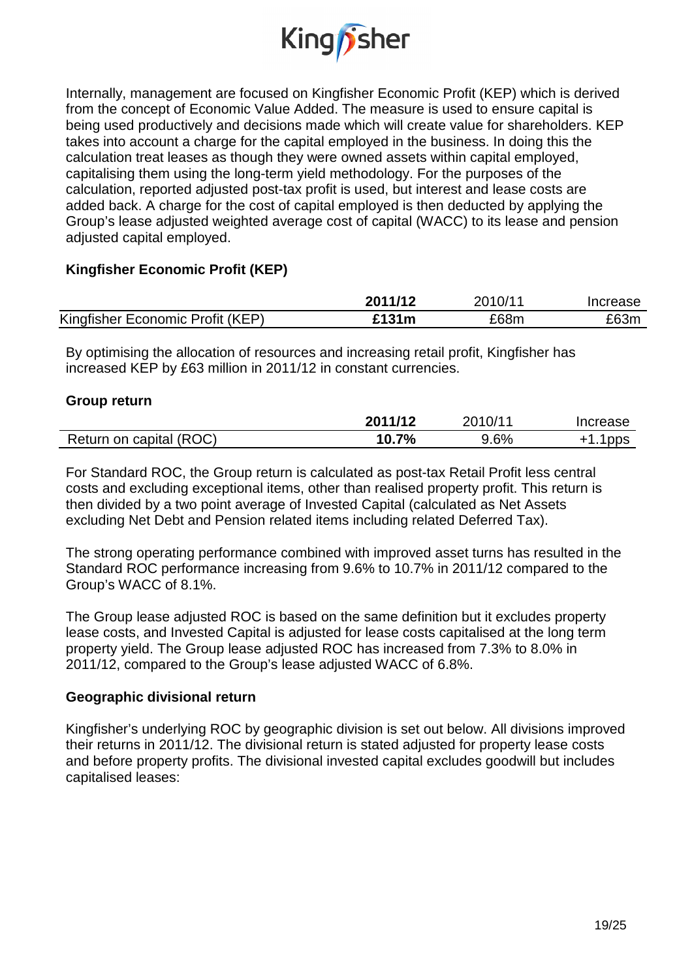

Internally, management are focused on Kingfisher Economic Profit (KEP) which is derived from the concept of Economic Value Added. The measure is used to ensure capital is being used productively and decisions made which will create value for shareholders. KEP takes into account a charge for the capital employed in the business. In doing this the calculation treat leases as though they were owned assets within capital employed, capitalising them using the long-term yield methodology. For the purposes of the calculation, reported adjusted post-tax profit is used, but interest and lease costs are added back. A charge for the cost of capital employed is then deducted by applying the Group's lease adjusted weighted average cost of capital (WACC) to its lease and pension adjusted capital employed.

## **Kingfisher Economic Profit (KEP)**

|                                  | 2011/12 | 2010/11 | Increase |
|----------------------------------|---------|---------|----------|
| Kingfisher Economic Profit (KEP) | £131m   | £68m    | £63m     |

By optimising the allocation of resources and increasing retail profit, Kingfisher has increased KEP by £63 million in 2011/12 in constant currencies.

### **Group return**

|                         | 2011/12    | 2010/11 | Increase |
|-------------------------|------------|---------|----------|
| Return on capital (ROC) | 7%<br>10.7 | 9.6%    | 1.1pps-  |

For Standard ROC, the Group return is calculated as post-tax Retail Profit less central costs and excluding exceptional items, other than realised property profit. This return is then divided by a two point average of Invested Capital (calculated as Net Assets excluding Net Debt and Pension related items including related Deferred Tax).

The strong operating performance combined with improved asset turns has resulted in the Standard ROC performance increasing from 9.6% to 10.7% in 2011/12 compared to the Group's WACC of 8.1%.

The Group lease adjusted ROC is based on the same definition but it excludes property lease costs, and Invested Capital is adjusted for lease costs capitalised at the long term property yield. The Group lease adjusted ROC has increased from 7.3% to 8.0% in 2011/12, compared to the Group's lease adjusted WACC of 6.8%.

### **Geographic divisional return**

Kingfisher's underlying ROC by geographic division is set out below. All divisions improved their returns in 2011/12. The divisional return is stated adjusted for property lease costs and before property profits. The divisional invested capital excludes goodwill but includes capitalised leases: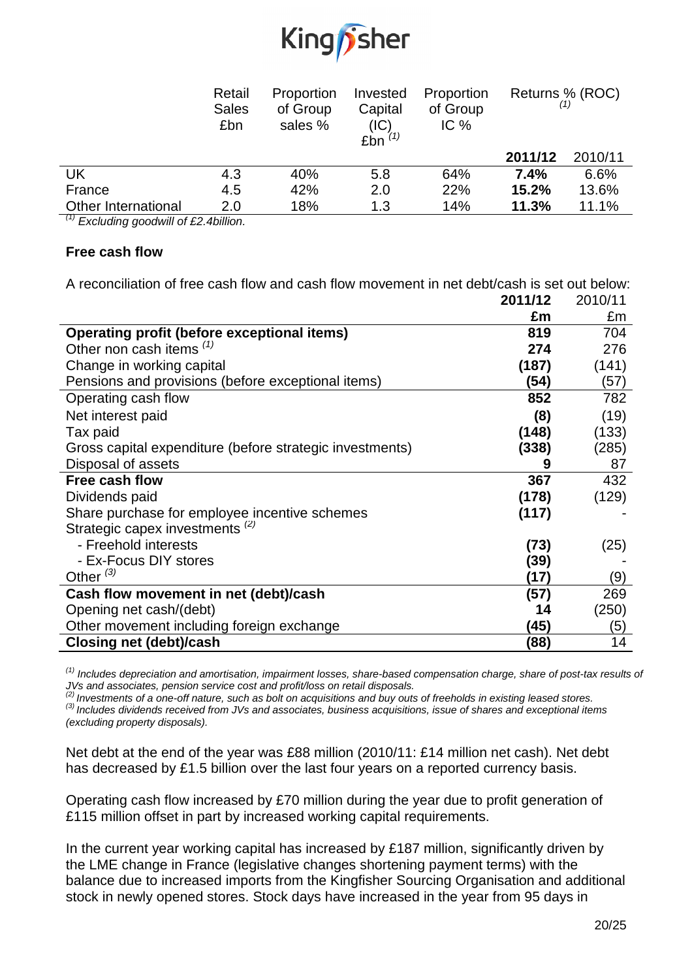

|                     | Retail<br><b>Sales</b><br>£bn | Proportion<br>of Group<br>sales % | Invested<br>Capital<br>(IC)<br>£bn $(1)$ | Proportion<br>of Group<br>IC $%$ | Returns % (ROC) |         |
|---------------------|-------------------------------|-----------------------------------|------------------------------------------|----------------------------------|-----------------|---------|
|                     |                               |                                   |                                          |                                  | 2011/12         | 2010/11 |
| <b>UK</b>           | 4.3                           | 40%                               | 5.8                                      | 64%                              | $7.4\%$         | 6.6%    |
| France              | 4.5                           | 42%                               | 2.0                                      | 22%                              | 15.2%           | 13.6%   |
| Other International | 2.0                           | 18%                               | 1.3                                      | 14%                              | 11.3%           | 11.1%   |

 $(1)$  Excluding goodwill of £2.4billion.

### **Free cash flow**

A reconciliation of free cash flow and cash flow movement in net debt/cash is set out below: **2011/12**  $0.10111$ 

|                                                          | ZU11/1Z | 2010/11 |
|----------------------------------------------------------|---------|---------|
|                                                          | £m      | £m      |
| <b>Operating profit (before exceptional items)</b>       | 819     | 704     |
| Other non cash items $(1)$                               | 274     | 276     |
| Change in working capital                                | (187)   | (141)   |
| Pensions and provisions (before exceptional items)       | (54)    | (57)    |
| Operating cash flow                                      | 852     | 782     |
| Net interest paid                                        | (8)     | (19)    |
| Tax paid                                                 | (148)   | (133)   |
| Gross capital expenditure (before strategic investments) | (338)   | (285)   |
| Disposal of assets                                       | 9       | 87      |
| <b>Free cash flow</b>                                    | 367     | 432     |
| Dividends paid                                           | (178)   | (129)   |
| Share purchase for employee incentive schemes            | (117)   |         |
| Strategic capex investments <sup>(2)</sup>               |         |         |
| - Freehold interests                                     | (73)    | (25)    |
| - Ex-Focus DIY stores                                    | (39)    |         |
| Other $(3)$                                              | (17)    | (9)     |
| Cash flow movement in net (debt)/cash                    | (57)    | 269     |
| Opening net cash/(debt)                                  | 14      | (250)   |
| Other movement including foreign exchange                | (45)    | (5)     |
| <b>Closing net (debt)/cash</b>                           | (88)    | 14      |

 $<sup>(1)</sup>$  Includes depreciation and amortisation, impairment losses, share-based compensation charge, share of post-tax results of</sup> JVs and associates, pension service cost and profit/loss on retail disposals.

 $^{(2)}$  Investments of a one-off nature, such as bolt on acquisitions and buy outs of freeholds in existing leased stores.

 $^{(3)}$  Includes dividends received from JVs and associates, business acquisitions, issue of shares and exceptional items (excluding property disposals).

Net debt at the end of the year was £88 million (2010/11: £14 million net cash). Net debt has decreased by £1.5 billion over the last four years on a reported currency basis.

Operating cash flow increased by £70 million during the year due to profit generation of £115 million offset in part by increased working capital requirements.

In the current year working capital has increased by £187 million, significantly driven by the LME change in France (legislative changes shortening payment terms) with the balance due to increased imports from the Kingfisher Sourcing Organisation and additional stock in newly opened stores. Stock days have increased in the year from 95 days in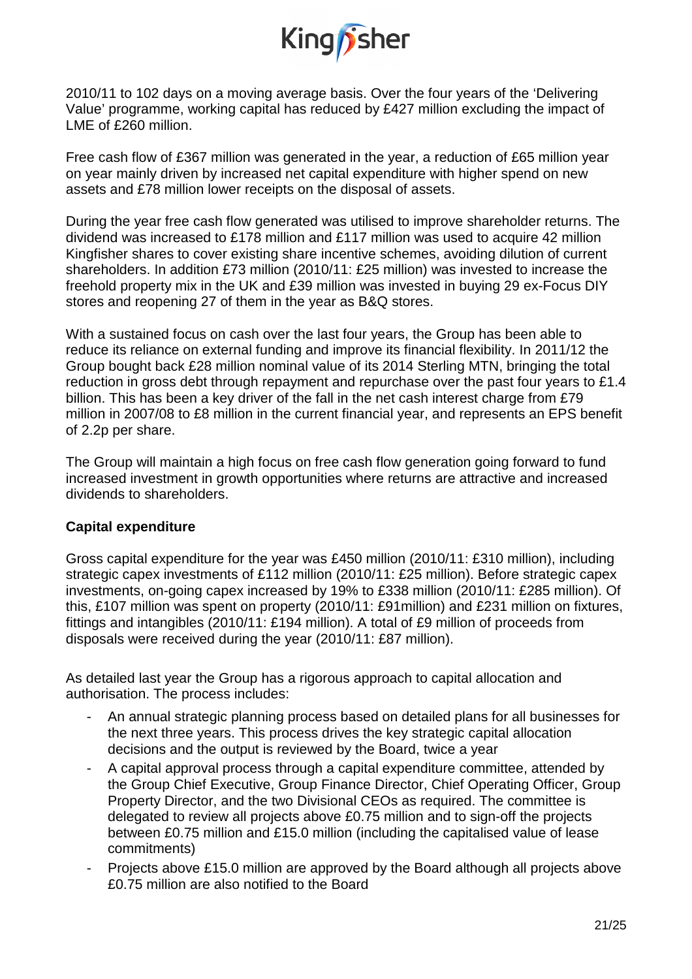

2010/11 to 102 days on a moving average basis. Over the four years of the 'Delivering Value' programme, working capital has reduced by £427 million excluding the impact of LME of £260 million.

Free cash flow of £367 million was generated in the year, a reduction of £65 million year on year mainly driven by increased net capital expenditure with higher spend on new assets and £78 million lower receipts on the disposal of assets.

During the year free cash flow generated was utilised to improve shareholder returns. The dividend was increased to £178 million and £117 million was used to acquire 42 million Kingfisher shares to cover existing share incentive schemes, avoiding dilution of current shareholders. In addition £73 million (2010/11: £25 million) was invested to increase the freehold property mix in the UK and £39 million was invested in buying 29 ex-Focus DIY stores and reopening 27 of them in the year as B&Q stores.

With a sustained focus on cash over the last four years, the Group has been able to reduce its reliance on external funding and improve its financial flexibility. In 2011/12 the Group bought back £28 million nominal value of its 2014 Sterling MTN, bringing the total reduction in gross debt through repayment and repurchase over the past four years to £1.4 billion. This has been a key driver of the fall in the net cash interest charge from £79 million in 2007/08 to £8 million in the current financial year, and represents an EPS benefit of 2.2p per share.

The Group will maintain a high focus on free cash flow generation going forward to fund increased investment in growth opportunities where returns are attractive and increased dividends to shareholders.

### **Capital expenditure**

Gross capital expenditure for the year was £450 million (2010/11: £310 million), including strategic capex investments of £112 million (2010/11: £25 million). Before strategic capex investments, on-going capex increased by 19% to £338 million (2010/11: £285 million). Of this, £107 million was spent on property (2010/11: £91million) and £231 million on fixtures, fittings and intangibles (2010/11: £194 million). A total of £9 million of proceeds from disposals were received during the year (2010/11: £87 million).

As detailed last year the Group has a rigorous approach to capital allocation and authorisation. The process includes:

- An annual strategic planning process based on detailed plans for all businesses for the next three years. This process drives the key strategic capital allocation decisions and the output is reviewed by the Board, twice a year
- A capital approval process through a capital expenditure committee, attended by the Group Chief Executive, Group Finance Director, Chief Operating Officer, Group Property Director, and the two Divisional CEOs as required. The committee is delegated to review all projects above £0.75 million and to sign-off the projects between £0.75 million and £15.0 million (including the capitalised value of lease commitments)
- Projects above £15.0 million are approved by the Board although all projects above £0.75 million are also notified to the Board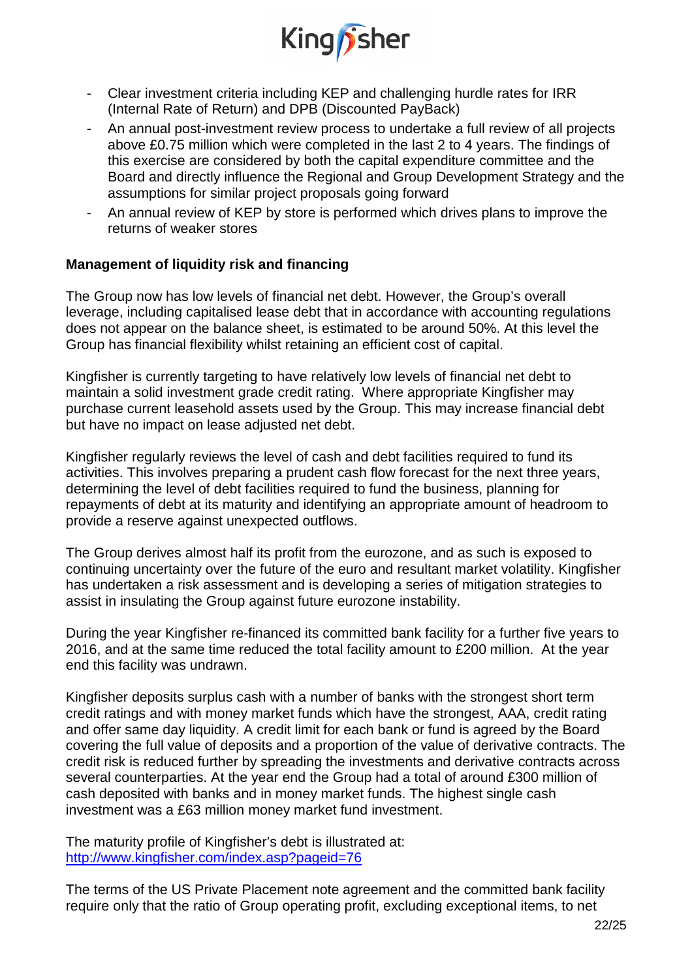

- Clear investment criteria including KEP and challenging hurdle rates for IRR (Internal Rate of Return) and DPB (Discounted PayBack)
- An annual post-investment review process to undertake a full review of all projects above £0.75 million which were completed in the last 2 to 4 years. The findings of this exercise are considered by both the capital expenditure committee and the Board and directly influence the Regional and Group Development Strategy and the assumptions for similar project proposals going forward
- An annual review of KEP by store is performed which drives plans to improve the returns of weaker stores

## **Management of liquidity risk and financing**

The Group now has low levels of financial net debt. However, the Group's overall leverage, including capitalised lease debt that in accordance with accounting regulations does not appear on the balance sheet, is estimated to be around 50%. At this level the Group has financial flexibility whilst retaining an efficient cost of capital.

Kingfisher is currently targeting to have relatively low levels of financial net debt to maintain a solid investment grade credit rating. Where appropriate Kingfisher may purchase current leasehold assets used by the Group. This may increase financial debt but have no impact on lease adjusted net debt.

Kingfisher regularly reviews the level of cash and debt facilities required to fund its activities. This involves preparing a prudent cash flow forecast for the next three years, determining the level of debt facilities required to fund the business, planning for repayments of debt at its maturity and identifying an appropriate amount of headroom to provide a reserve against unexpected outflows.

The Group derives almost half its profit from the eurozone, and as such is exposed to continuing uncertainty over the future of the euro and resultant market volatility. Kingfisher has undertaken a risk assessment and is developing a series of mitigation strategies to assist in insulating the Group against future eurozone instability.

During the year Kingfisher re-financed its committed bank facility for a further five years to 2016, and at the same time reduced the total facility amount to £200 million. At the year end this facility was undrawn.

Kingfisher deposits surplus cash with a number of banks with the strongest short term credit ratings and with money market funds which have the strongest, AAA, credit rating and offer same day liquidity. A credit limit for each bank or fund is agreed by the Board covering the full value of deposits and a proportion of the value of derivative contracts. The credit risk is reduced further by spreading the investments and derivative contracts across several counterparties. At the year end the Group had a total of around £300 million of cash deposited with banks and in money market funds. The highest single cash investment was a £63 million money market fund investment.

The maturity profile of Kingfisher's debt is illustrated at: http://www.kingfisher.com/index.asp?pageid=76

The terms of the US Private Placement note agreement and the committed bank facility require only that the ratio of Group operating profit, excluding exceptional items, to net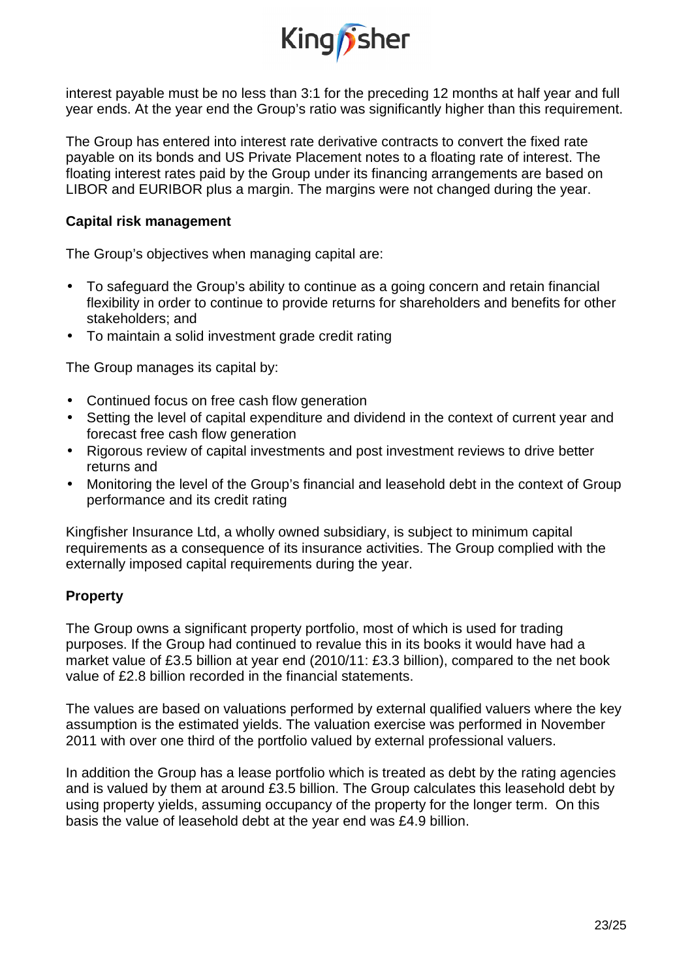

interest payable must be no less than 3:1 for the preceding 12 months at half year and full year ends. At the year end the Group's ratio was significantly higher than this requirement.

The Group has entered into interest rate derivative contracts to convert the fixed rate payable on its bonds and US Private Placement notes to a floating rate of interest. The floating interest rates paid by the Group under its financing arrangements are based on LIBOR and EURIBOR plus a margin. The margins were not changed during the year.

### **Capital risk management**

The Group's objectives when managing capital are:

- To safeguard the Group's ability to continue as a going concern and retain financial flexibility in order to continue to provide returns for shareholders and benefits for other stakeholders; and
- To maintain a solid investment grade credit rating

The Group manages its capital by:

- Continued focus on free cash flow generation
- Setting the level of capital expenditure and dividend in the context of current year and forecast free cash flow generation
- Rigorous review of capital investments and post investment reviews to drive better returns and
- Monitoring the level of the Group's financial and leasehold debt in the context of Group performance and its credit rating

Kingfisher Insurance Ltd, a wholly owned subsidiary, is subject to minimum capital requirements as a consequence of its insurance activities. The Group complied with the externally imposed capital requirements during the year.

# **Property**

The Group owns a significant property portfolio, most of which is used for trading purposes. If the Group had continued to revalue this in its books it would have had a market value of £3.5 billion at year end (2010/11: £3.3 billion), compared to the net book value of £2.8 billion recorded in the financial statements.

The values are based on valuations performed by external qualified valuers where the key assumption is the estimated yields. The valuation exercise was performed in November 2011 with over one third of the portfolio valued by external professional valuers.

In addition the Group has a lease portfolio which is treated as debt by the rating agencies and is valued by them at around £3.5 billion. The Group calculates this leasehold debt by using property yields, assuming occupancy of the property for the longer term. On this basis the value of leasehold debt at the year end was £4.9 billion.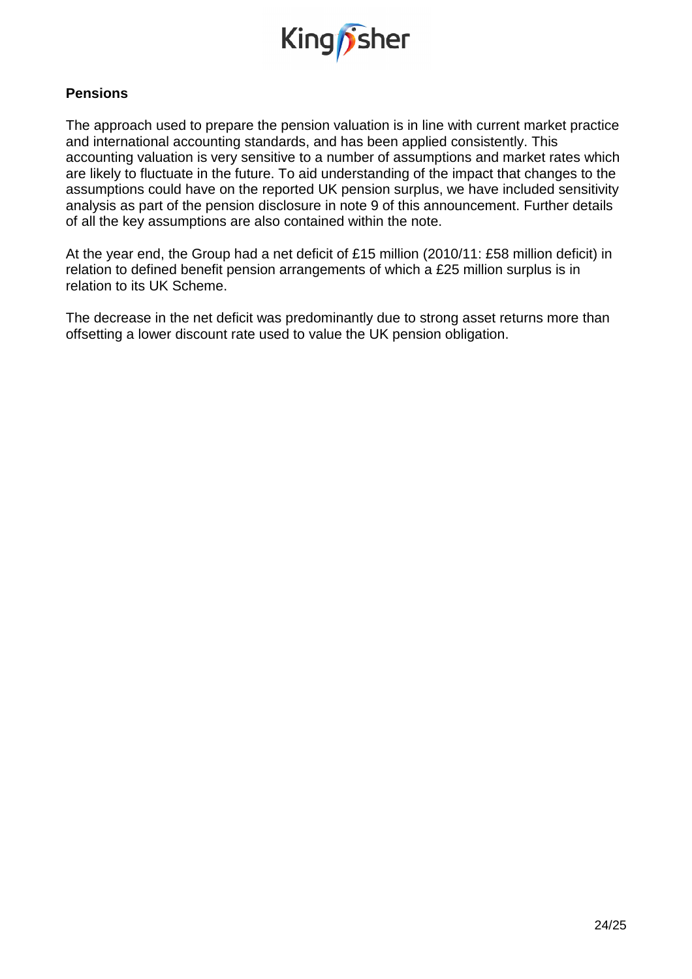

### **Pensions**

The approach used to prepare the pension valuation is in line with current market practice and international accounting standards, and has been applied consistently. This accounting valuation is very sensitive to a number of assumptions and market rates which are likely to fluctuate in the future. To aid understanding of the impact that changes to the assumptions could have on the reported UK pension surplus, we have included sensitivity analysis as part of the pension disclosure in note 9 of this announcement. Further details of all the key assumptions are also contained within the note.

At the year end, the Group had a net deficit of £15 million (2010/11: £58 million deficit) in relation to defined benefit pension arrangements of which a £25 million surplus is in relation to its UK Scheme.

The decrease in the net deficit was predominantly due to strong asset returns more than offsetting a lower discount rate used to value the UK pension obligation.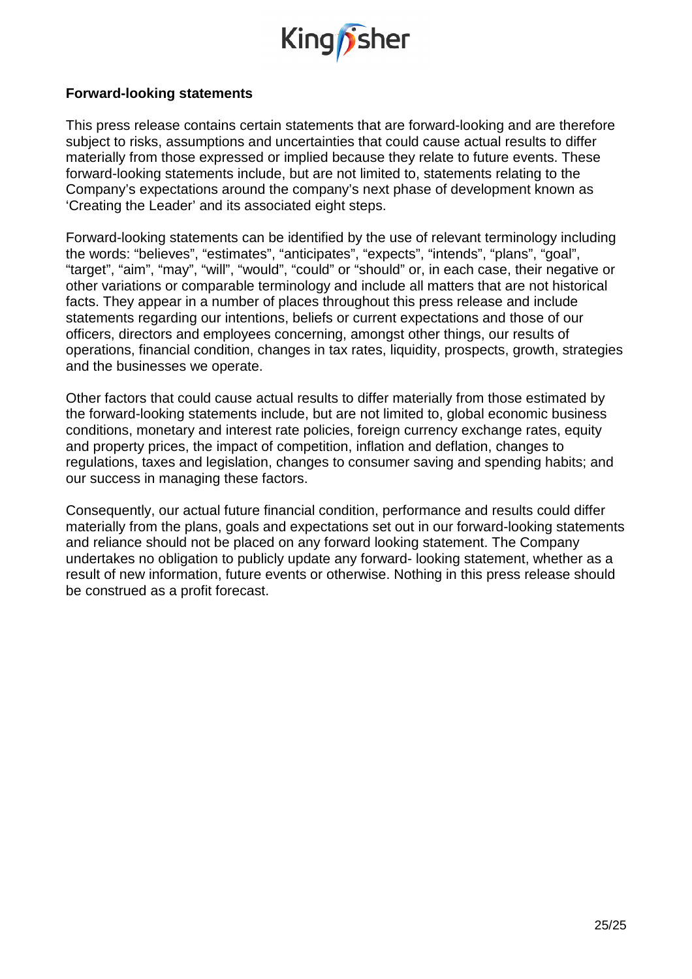

### **Forward-looking statements**

This press release contains certain statements that are forward-looking and are therefore subject to risks, assumptions and uncertainties that could cause actual results to differ materially from those expressed or implied because they relate to future events. These forward-looking statements include, but are not limited to, statements relating to the Company's expectations around the company's next phase of development known as 'Creating the Leader' and its associated eight steps.

Forward-looking statements can be identified by the use of relevant terminology including the words: "believes", "estimates", "anticipates", "expects", "intends", "plans", "goal", "target", "aim", "may", "will", "would", "could" or "should" or, in each case, their negative or other variations or comparable terminology and include all matters that are not historical facts. They appear in a number of places throughout this press release and include statements regarding our intentions, beliefs or current expectations and those of our officers, directors and employees concerning, amongst other things, our results of operations, financial condition, changes in tax rates, liquidity, prospects, growth, strategies and the businesses we operate.

Other factors that could cause actual results to differ materially from those estimated by the forward-looking statements include, but are not limited to, global economic business conditions, monetary and interest rate policies, foreign currency exchange rates, equity and property prices, the impact of competition, inflation and deflation, changes to regulations, taxes and legislation, changes to consumer saving and spending habits; and our success in managing these factors.

Consequently, our actual future financial condition, performance and results could differ materially from the plans, goals and expectations set out in our forward-looking statements and reliance should not be placed on any forward looking statement. The Company undertakes no obligation to publicly update any forward- looking statement, whether as a result of new information, future events or otherwise. Nothing in this press release should be construed as a profit forecast.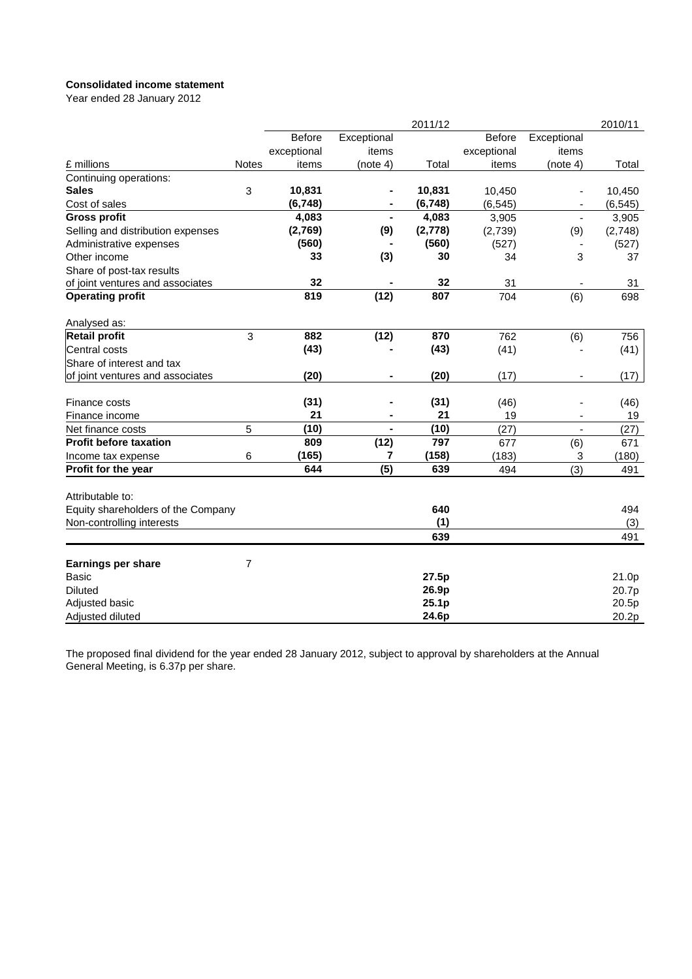#### **Consolidated income statement**

Year ended 28 January 2012

|                                    |              |             |                | 2011/12  |             |                          | 2010/11  |
|------------------------------------|--------------|-------------|----------------|----------|-------------|--------------------------|----------|
|                                    |              | Before      | Exceptional    |          | Before      | Exceptional              |          |
|                                    |              | exceptional | items          |          | exceptional | items                    |          |
| £ millions                         | <b>Notes</b> | items       | (note 4)       | Total    | items       | (note 4)                 | Total    |
| Continuing operations:             |              |             |                |          |             |                          |          |
| <b>Sales</b>                       | 3            | 10,831      |                | 10,831   | 10,450      |                          | 10,450   |
| Cost of sales                      |              | (6, 748)    | -              | (6, 748) | (6, 545)    | $\overline{\phantom{a}}$ | (6, 545) |
| <b>Gross profit</b>                |              | 4,083       | $\blacksquare$ | 4,083    | 3,905       | $\blacksquare$           | 3,905    |
| Selling and distribution expenses  |              | (2,769)     | (9)            | (2,778)  | (2,739)     | (9)                      | (2,748)  |
| Administrative expenses            |              | (560)       |                | (560)    | (527)       |                          | (527)    |
| Other income                       |              | 33          | (3)            | 30       | 34          | 3                        | 37       |
| Share of post-tax results          |              |             |                |          |             |                          |          |
| of joint ventures and associates   |              | 32          |                | 32       | 31          |                          | 31       |
| <b>Operating profit</b>            |              | 819         | (12)           | 807      | 704         | (6)                      | 698      |
| Analysed as:                       |              |             |                |          |             |                          |          |
| <b>Retail profit</b>               | 3            | 882         | (12)           | 870      | 762         | (6)                      | 756      |
| Central costs                      |              | (43)        |                | (43)     | (41)        |                          | (41)     |
| Share of interest and tax          |              |             |                |          |             |                          |          |
| of joint ventures and associates   |              | (20)        | $\blacksquare$ | (20)     | (17)        |                          | (17)     |
| Finance costs                      |              | (31)        |                | (31)     | (46)        |                          | (46)     |
| Finance income                     |              | 21          | $\blacksquare$ | 21       | 19          |                          | 19       |
| Net finance costs                  | 5            | (10)        | $\blacksquare$ | (10)     | (27)        | $\blacksquare$           | (27)     |
| <b>Profit before taxation</b>      |              | 809         | (12)           | 797      | 677         | (6)                      | 671      |
| Income tax expense                 | 6            | (165)       | 7              | (158)    | (183)       | 3                        | (180)    |
| Profit for the year                |              | 644         | (5)            | 639      | 494         | (3)                      | 491      |
| Attributable to:                   |              |             |                |          |             |                          |          |
| Equity shareholders of the Company |              |             |                | 640      |             |                          | 494      |
| Non-controlling interests          |              |             |                | (1)      |             |                          | (3)      |
|                                    |              |             |                | 639      |             |                          | 491      |
| <b>Earnings per share</b>          | 7            |             |                |          |             |                          |          |
| <b>Basic</b>                       |              |             |                | 27.5p    |             |                          | 21.0p    |
| <b>Diluted</b>                     |              |             |                | 26.9p    |             |                          | 20.7p    |
| Adjusted basic                     |              |             |                | 25.1p    |             |                          | 20.5p    |
| Adjusted diluted                   |              |             |                | 24.6p    |             |                          | 20.2p    |

The proposed final dividend for the year ended 28 January 2012, subject to approval by shareholders at the Annual General Meeting, is 6.37p per share.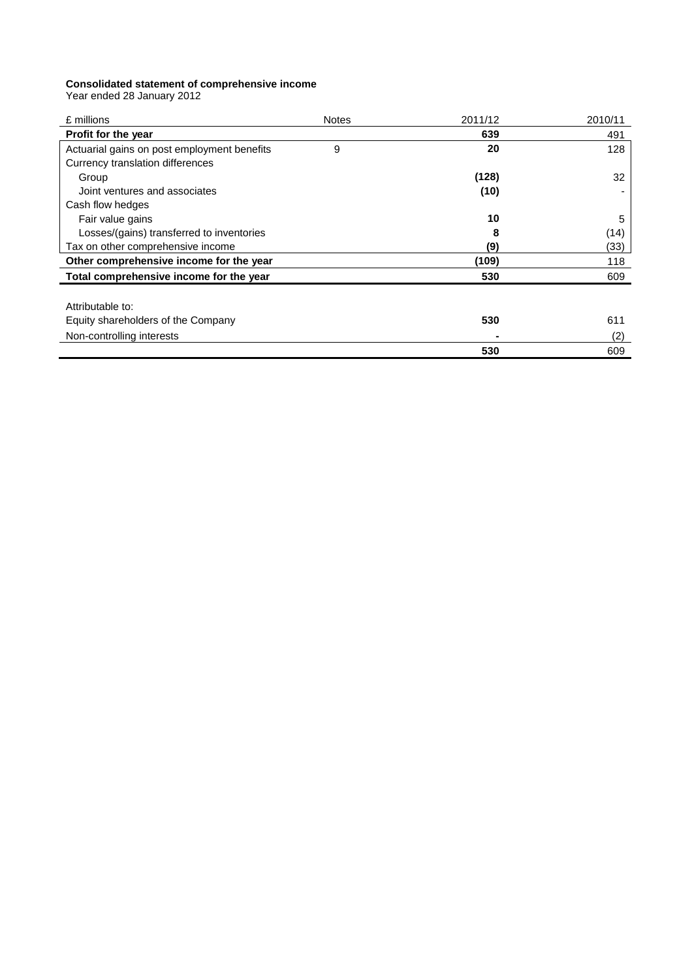#### **Consolidated statement of comprehensive income**

Year ended 28 January 2012

| £ millions                                  | <b>Notes</b> | 2011/12 | 2010/11 |
|---------------------------------------------|--------------|---------|---------|
| Profit for the year                         |              | 639     | 491     |
| Actuarial gains on post employment benefits | 9            | 20      | 128     |
| Currency translation differences            |              |         |         |
| Group                                       |              | (128)   | 32      |
| Joint ventures and associates               |              | (10)    |         |
| Cash flow hedges                            |              |         |         |
| Fair value gains                            |              | 10      | 5       |
| Losses/(gains) transferred to inventories   |              | 8       | (14)    |
| Tax on other comprehensive income           |              | (9)     | (33)    |
| Other comprehensive income for the year     |              | (109)   | 118     |
| Total comprehensive income for the year     |              | 530     | 609     |
| Attributable to:                            |              |         |         |
| Equity shareholders of the Company          |              | 530     | 611     |
| Non-controlling interests                   |              |         | (2)     |
|                                             |              | 530     | 609     |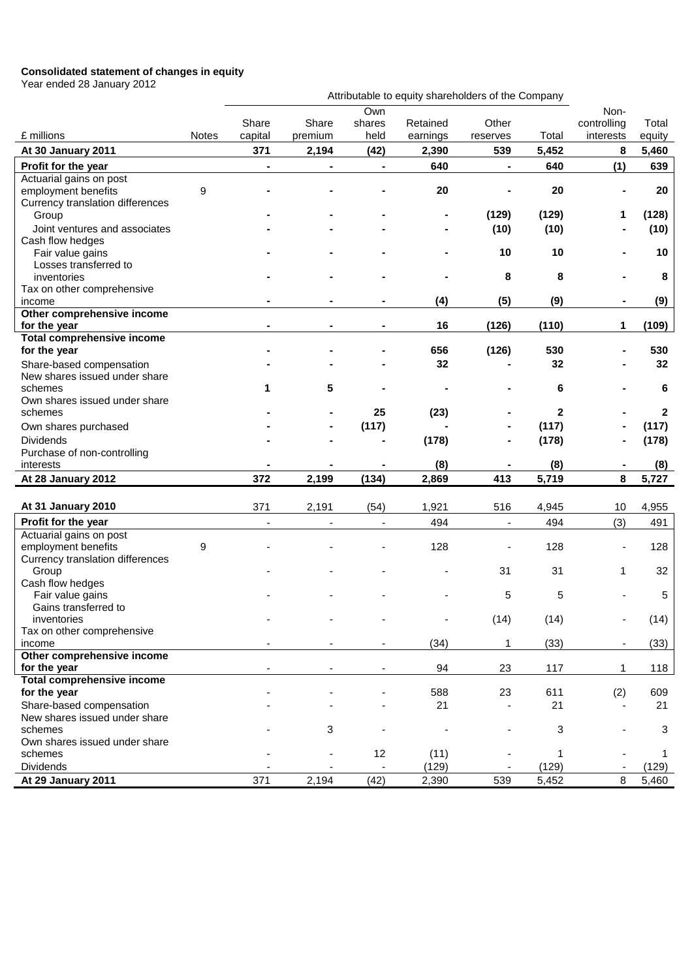#### **Consolidated statement of changes in equity**

Year ended 28 January 2012

| $C_1$ and $C_2$ of $C_3$ and $C_4$ and $C_5$ and $C_6$ and $C_7$ and $C_8$ and $C_9$ and $C_9$ and $C_9$ and $C_9$ and $C_9$ and $C_9$ and $C_9$ and $C_9$ and $C_9$ and $C_9$ and $C_9$ and $C_9$ and $C_9$ and $C_9$ and $C$ |       |                |                |                          | Attributable to equity shareholders of the Company |                          |              |             |              |
|--------------------------------------------------------------------------------------------------------------------------------------------------------------------------------------------------------------------------------|-------|----------------|----------------|--------------------------|----------------------------------------------------|--------------------------|--------------|-------------|--------------|
|                                                                                                                                                                                                                                |       |                |                | Own                      |                                                    |                          |              | Non-        |              |
|                                                                                                                                                                                                                                |       | Share          | Share          | shares                   | Retained                                           | Other                    |              | controlling | Total        |
| £ millions                                                                                                                                                                                                                     | Notes | capital        | premium        | held                     | earnings                                           | reserves                 | Total        | interests   | equity       |
| At 30 January 2011                                                                                                                                                                                                             |       | 371            | 2,194          | (42)                     | 2,390                                              | 539                      | 5,452        | 8           | 5,460        |
| Profit for the year                                                                                                                                                                                                            |       | $\blacksquare$ | $\blacksquare$ | $\blacksquare$           | 640                                                | $\blacksquare$           | 640          | (1)         | 639          |
| Actuarial gains on post                                                                                                                                                                                                        |       |                |                |                          |                                                    |                          |              |             |              |
| employment benefits                                                                                                                                                                                                            | 9     |                |                |                          | 20                                                 |                          | 20           |             | 20           |
| Currency translation differences                                                                                                                                                                                               |       |                |                |                          |                                                    |                          |              |             |              |
| Group                                                                                                                                                                                                                          |       |                |                |                          |                                                    | (129)                    | (129)        | 1           | (128)        |
| Joint ventures and associates                                                                                                                                                                                                  |       |                |                |                          |                                                    | (10)                     | (10)         |             | (10)         |
| Cash flow hedges                                                                                                                                                                                                               |       |                |                |                          |                                                    |                          |              |             |              |
| Fair value gains                                                                                                                                                                                                               |       |                |                |                          |                                                    | 10                       | 10           |             | 10           |
| Losses transferred to                                                                                                                                                                                                          |       |                |                |                          |                                                    |                          |              |             |              |
| inventories                                                                                                                                                                                                                    |       |                |                |                          |                                                    | 8                        | 8            |             | 8            |
| Tax on other comprehensive<br>income                                                                                                                                                                                           |       |                |                |                          | (4)                                                | (5)                      | (9)          |             | (9)          |
| Other comprehensive income                                                                                                                                                                                                     |       |                |                |                          |                                                    |                          |              |             |              |
| for the year                                                                                                                                                                                                                   |       |                |                | $\blacksquare$           | 16                                                 | (126)                    | (110)        | 1           | (109)        |
| <b>Total comprehensive income</b>                                                                                                                                                                                              |       |                |                |                          |                                                    |                          |              |             |              |
| for the year                                                                                                                                                                                                                   |       |                |                |                          | 656                                                | (126)                    | 530          |             | 530          |
| Share-based compensation                                                                                                                                                                                                       |       |                |                |                          | 32                                                 |                          | 32           |             | 32           |
| New shares issued under share                                                                                                                                                                                                  |       |                |                |                          |                                                    |                          |              |             |              |
| schemes                                                                                                                                                                                                                        |       | 1              | 5              |                          |                                                    |                          | 6            |             | 6            |
| Own shares issued under share                                                                                                                                                                                                  |       |                |                |                          |                                                    |                          |              |             |              |
| schemes                                                                                                                                                                                                                        |       |                |                | 25                       | (23)                                               |                          | $\mathbf{2}$ |             | $\mathbf{2}$ |
| Own shares purchased                                                                                                                                                                                                           |       |                |                | (117)                    |                                                    |                          | (117)        |             | (117)        |
| <b>Dividends</b>                                                                                                                                                                                                               |       |                |                |                          | (178)                                              |                          | (178)        |             | (178)        |
| Purchase of non-controlling                                                                                                                                                                                                    |       |                |                |                          |                                                    |                          |              |             |              |
| interests                                                                                                                                                                                                                      |       |                |                |                          | (8)                                                |                          | (8)          |             | (8)          |
| At 28 January 2012                                                                                                                                                                                                             |       | 372            | 2,199          | (134)                    | 2,869                                              | 413                      | 5,719        | 8           | 5,727        |
|                                                                                                                                                                                                                                |       |                |                |                          |                                                    |                          |              |             |              |
| At 31 January 2010                                                                                                                                                                                                             |       | 371            | 2,191          | (54)                     | 1,921                                              | 516                      | 4,945        | 10          | 4,955        |
| Profit for the year                                                                                                                                                                                                            |       | $\blacksquare$ | $\blacksquare$ | $\blacksquare$           | 494                                                | $\overline{\phantom{a}}$ | 494          | (3)         | 491          |
| Actuarial gains on post                                                                                                                                                                                                        |       |                |                |                          |                                                    |                          |              |             |              |
| employment benefits                                                                                                                                                                                                            | 9     |                |                |                          | 128                                                |                          | 128          |             | 128          |
| Currency translation differences                                                                                                                                                                                               |       |                |                |                          |                                                    |                          |              |             |              |
| Group<br>Cash flow hedges                                                                                                                                                                                                      |       |                |                |                          |                                                    | 31                       | 31           | 1           | 32           |
| Fair value gains                                                                                                                                                                                                               |       |                |                |                          |                                                    | 5                        | 5            |             | 5            |
| Gains transferred to                                                                                                                                                                                                           |       |                |                |                          |                                                    |                          |              |             |              |
| inventories                                                                                                                                                                                                                    |       |                |                |                          |                                                    | (14)                     | (14)         |             | (14)         |
| Tax on other comprehensive                                                                                                                                                                                                     |       |                |                |                          |                                                    |                          |              |             |              |
| income                                                                                                                                                                                                                         |       |                |                |                          | (34)                                               | 1                        | (33)         |             | (33)         |
| Other comprehensive income                                                                                                                                                                                                     |       |                |                |                          |                                                    |                          |              |             |              |
| for the year                                                                                                                                                                                                                   |       |                |                | $\overline{\phantom{a}}$ | 94                                                 | 23                       | 117          | 1           | 118          |
| <b>Total comprehensive income</b>                                                                                                                                                                                              |       |                |                |                          |                                                    |                          |              |             |              |
| for the year                                                                                                                                                                                                                   |       |                |                |                          | 588                                                | 23                       | 611          | (2)         | 609          |
| Share-based compensation                                                                                                                                                                                                       |       |                |                |                          | 21                                                 | $\overline{\phantom{a}}$ | 21           |             | 21           |
| New shares issued under share                                                                                                                                                                                                  |       |                |                |                          |                                                    |                          |              |             |              |
| schemes<br>Own shares issued under share                                                                                                                                                                                       |       |                | 3              |                          |                                                    |                          | 3            |             | 3            |
| schemes                                                                                                                                                                                                                        |       |                |                | 12                       | (11)                                               |                          | 1            |             | 1            |
| Dividends                                                                                                                                                                                                                      |       |                |                |                          | (129)                                              |                          | (129)        |             | (129)        |
| At 29 January 2011                                                                                                                                                                                                             |       | 371            | 2,194          | (42)                     | 2,390                                              | 539                      | 5,452        | 8           | 5,460        |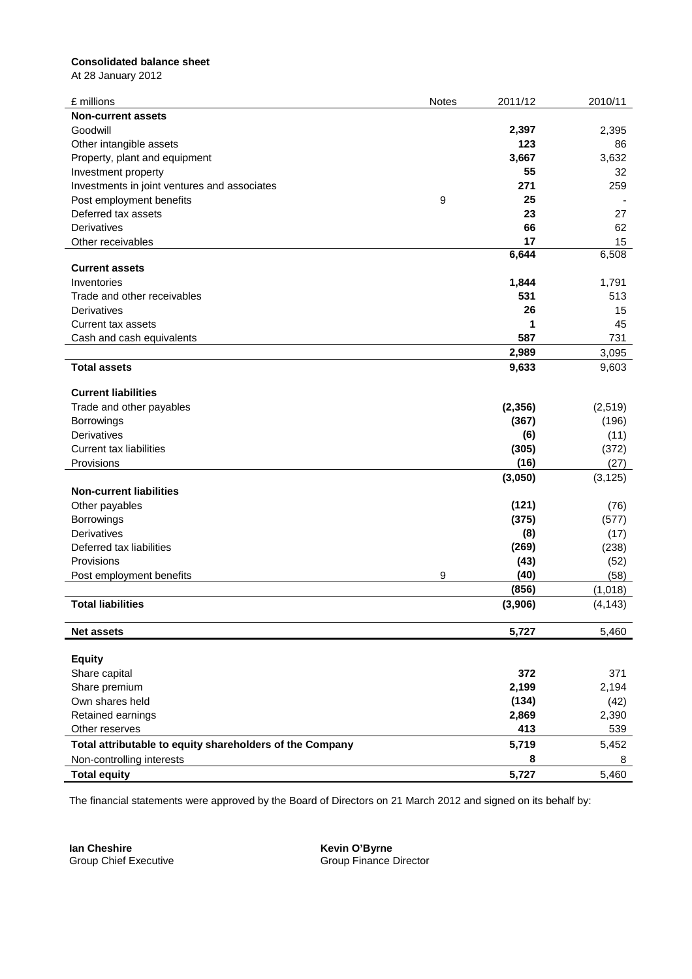#### **Consolidated balance sheet**

At 28 January 2012

| <b>Non-current assets</b><br>Goodwill<br>2,397<br>2,395<br>Other intangible assets<br>123<br>86<br>Property, plant and equipment<br>3,667<br>3,632<br>Investment property<br>55<br>32<br>271<br>259<br>Investments in joint ventures and associates<br>9<br>25<br>Post employment benefits<br>Deferred tax assets<br>23<br>27 |
|-------------------------------------------------------------------------------------------------------------------------------------------------------------------------------------------------------------------------------------------------------------------------------------------------------------------------------|
|                                                                                                                                                                                                                                                                                                                               |
|                                                                                                                                                                                                                                                                                                                               |
|                                                                                                                                                                                                                                                                                                                               |
|                                                                                                                                                                                                                                                                                                                               |
|                                                                                                                                                                                                                                                                                                                               |
|                                                                                                                                                                                                                                                                                                                               |
|                                                                                                                                                                                                                                                                                                                               |
|                                                                                                                                                                                                                                                                                                                               |
| <b>Derivatives</b><br>66<br>62                                                                                                                                                                                                                                                                                                |
| 17<br>Other receivables<br>15                                                                                                                                                                                                                                                                                                 |
| 6,644<br>6,508                                                                                                                                                                                                                                                                                                                |
| <b>Current assets</b>                                                                                                                                                                                                                                                                                                         |
| 1,844<br>Inventories<br>1,791                                                                                                                                                                                                                                                                                                 |
| 531<br>Trade and other receivables<br>513                                                                                                                                                                                                                                                                                     |
| Derivatives<br>26<br>15                                                                                                                                                                                                                                                                                                       |
| 1<br>45<br><b>Current tax assets</b>                                                                                                                                                                                                                                                                                          |
| 587<br>731<br>Cash and cash equivalents                                                                                                                                                                                                                                                                                       |
| 2,989<br>3,095                                                                                                                                                                                                                                                                                                                |
| <b>Total assets</b><br>9,633<br>9,603                                                                                                                                                                                                                                                                                         |
|                                                                                                                                                                                                                                                                                                                               |
| <b>Current liabilities</b>                                                                                                                                                                                                                                                                                                    |
| (2, 356)<br>Trade and other payables<br>(2, 519)                                                                                                                                                                                                                                                                              |
| (367)<br>Borrowings<br>(196)                                                                                                                                                                                                                                                                                                  |
| Derivatives<br>(6)<br>(11)                                                                                                                                                                                                                                                                                                    |
| (305)<br><b>Current tax liabilities</b><br>(372)                                                                                                                                                                                                                                                                              |
| (16)<br>(27)<br>Provisions                                                                                                                                                                                                                                                                                                    |
| (3,050)<br>(3, 125)                                                                                                                                                                                                                                                                                                           |
| <b>Non-current liabilities</b>                                                                                                                                                                                                                                                                                                |
| Other payables<br>(121)<br>(76)                                                                                                                                                                                                                                                                                               |
| Borrowings<br>(375)<br>(577)                                                                                                                                                                                                                                                                                                  |
| Derivatives<br>(8)<br>(17)                                                                                                                                                                                                                                                                                                    |
| Deferred tax liabilities<br>(269)<br>(238)                                                                                                                                                                                                                                                                                    |
| Provisions<br>(43)<br>(52)                                                                                                                                                                                                                                                                                                    |
| 9<br>(40)<br>Post employment benefits<br>(58)                                                                                                                                                                                                                                                                                 |
| (856)<br>(1,018)                                                                                                                                                                                                                                                                                                              |
| <b>Total liabilities</b><br>(3,906)<br>(4, 143)                                                                                                                                                                                                                                                                               |
| 5,727<br><b>Net assets</b><br>5,460                                                                                                                                                                                                                                                                                           |
| <b>Equity</b>                                                                                                                                                                                                                                                                                                                 |
| Share capital<br>372<br>371                                                                                                                                                                                                                                                                                                   |
| Share premium<br>2,199<br>2,194                                                                                                                                                                                                                                                                                               |
| Own shares held<br>(134)<br>(42)                                                                                                                                                                                                                                                                                              |
| Retained earnings<br>2,390<br>2,869                                                                                                                                                                                                                                                                                           |
| 413<br>Other reserves<br>539                                                                                                                                                                                                                                                                                                  |
| Total attributable to equity shareholders of the Company<br>5,719<br>5,452                                                                                                                                                                                                                                                    |
| Non-controlling interests<br>8<br>8                                                                                                                                                                                                                                                                                           |
| <b>Total equity</b><br>5,727<br>5,460                                                                                                                                                                                                                                                                                         |

The financial statements were approved by the Board of Directors on 21 March 2012 and signed on its behalf by:

**Ian Cheshire Community Community Community Community Community Community Community Community Community Community** 

Group Chief Executive Group Finance Director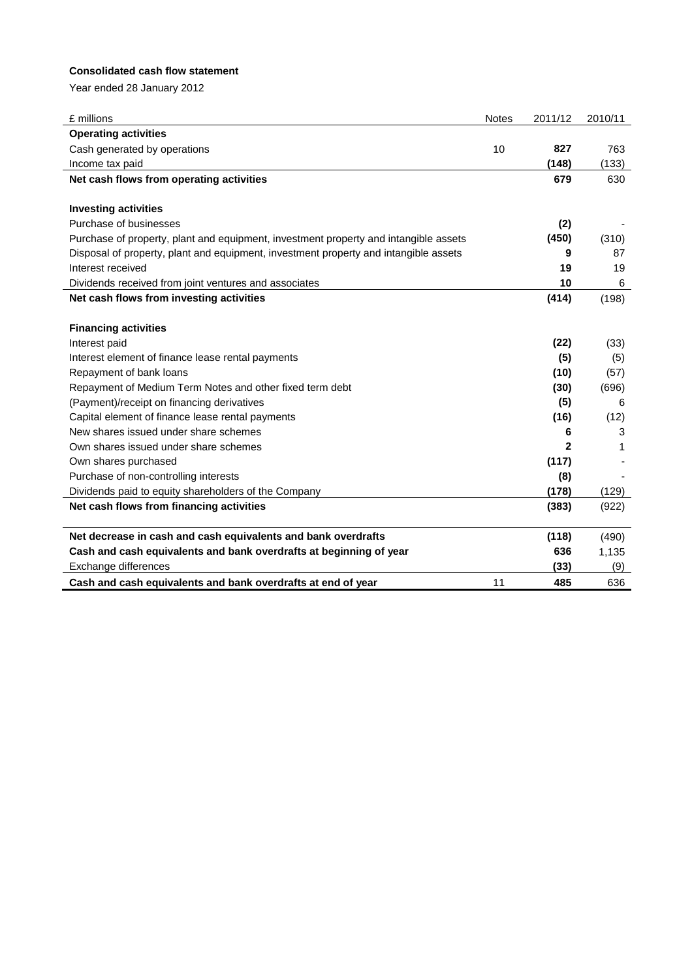#### **Consolidated cash flow statement**

Year ended 28 January 2012

| £ millions                                                                           | <b>Notes</b> | 2011/12 | 2010/11 |
|--------------------------------------------------------------------------------------|--------------|---------|---------|
| <b>Operating activities</b>                                                          |              |         |         |
| Cash generated by operations                                                         | 10           | 827     | 763     |
| Income tax paid                                                                      |              | (148)   | (133)   |
| Net cash flows from operating activities                                             |              | 679     | 630     |
|                                                                                      |              |         |         |
| <b>Investing activities</b>                                                          |              |         |         |
| Purchase of businesses                                                               |              | (2)     |         |
| Purchase of property, plant and equipment, investment property and intangible assets |              | (450)   | (310)   |
| Disposal of property, plant and equipment, investment property and intangible assets |              | 9       | 87      |
| Interest received                                                                    |              | 19      | 19      |
| Dividends received from joint ventures and associates                                |              | 10      | 6       |
| Net cash flows from investing activities                                             |              | (414)   | (198)   |
|                                                                                      |              |         |         |
| <b>Financing activities</b>                                                          |              |         |         |
| Interest paid                                                                        |              | (22)    | (33)    |
| Interest element of finance lease rental payments                                    |              | (5)     | (5)     |
| Repayment of bank loans                                                              |              | (10)    | (57)    |
| Repayment of Medium Term Notes and other fixed term debt                             |              | (30)    | (696)   |
| (Payment)/receipt on financing derivatives                                           |              | (5)     | 6       |
| Capital element of finance lease rental payments                                     |              | (16)    | (12)    |
| New shares issued under share schemes                                                |              | 6       | 3       |
| Own shares issued under share schemes                                                |              | 2       | 1       |
| Own shares purchased                                                                 |              | (117)   |         |
| Purchase of non-controlling interests                                                |              | (8)     |         |
| Dividends paid to equity shareholders of the Company                                 |              | (178)   | (129)   |
| Net cash flows from financing activities                                             |              | (383)   | (922)   |
|                                                                                      |              |         |         |
| Net decrease in cash and cash equivalents and bank overdrafts                        |              | (118)   | (490)   |
| Cash and cash equivalents and bank overdrafts at beginning of year                   |              | 636     | 1,135   |
| Exchange differences                                                                 |              | (33)    | (9)     |
| Cash and cash equivalents and bank overdrafts at end of year                         | 11           | 485     | 636     |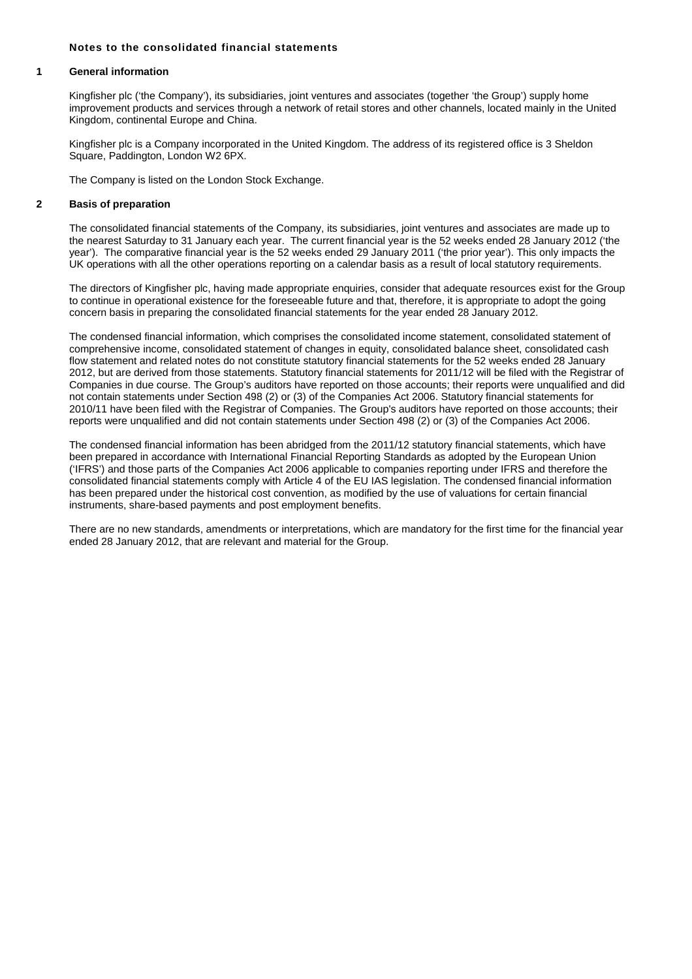#### **Notes to the consolidated financial statements**

#### **1 General information**

Kingfisher plc ('the Company'), its subsidiaries, joint ventures and associates (together 'the Group') supply home improvement products and services through a network of retail stores and other channels, located mainly in the United Kingdom, continental Europe and China.

Kingfisher plc is a Company incorporated in the United Kingdom. The address of its registered office is 3 Sheldon Square, Paddington, London W2 6PX.

The Company is listed on the London Stock Exchange.

#### **2 Basis of preparation**

The consolidated financial statements of the Company, its subsidiaries, joint ventures and associates are made up to the nearest Saturday to 31 January each year. The current financial year is the 52 weeks ended 28 January 2012 ('the year'). The comparative financial year is the 52 weeks ended 29 January 2011 ('the prior year'). This only impacts the UK operations with all the other operations reporting on a calendar basis as a result of local statutory requirements.

The directors of Kingfisher plc, having made appropriate enquiries, consider that adequate resources exist for the Group to continue in operational existence for the foreseeable future and that, therefore, it is appropriate to adopt the going concern basis in preparing the consolidated financial statements for the year ended 28 January 2012.

The condensed financial information, which comprises the consolidated income statement, consolidated statement of comprehensive income, consolidated statement of changes in equity, consolidated balance sheet, consolidated cash flow statement and related notes do not constitute statutory financial statements for the 52 weeks ended 28 January 2012, but are derived from those statements. Statutory financial statements for 2011/12 will be filed with the Registrar of Companies in due course. The Group's auditors have reported on those accounts; their reports were unqualified and did not contain statements under Section 498 (2) or (3) of the Companies Act 2006. Statutory financial statements for 2010/11 have been filed with the Registrar of Companies. The Group's auditors have reported on those accounts; their reports were unqualified and did not contain statements under Section 498 (2) or (3) of the Companies Act 2006.

The condensed financial information has been abridged from the 2011/12 statutory financial statements, which have been prepared in accordance with International Financial Reporting Standards as adopted by the European Union ('IFRS') and those parts of the Companies Act 2006 applicable to companies reporting under IFRS and therefore the consolidated financial statements comply with Article 4 of the EU IAS legislation. The condensed financial information has been prepared under the historical cost convention, as modified by the use of valuations for certain financial instruments, share-based payments and post employment benefits.

There are no new standards, amendments or interpretations, which are mandatory for the first time for the financial year ended 28 January 2012, that are relevant and material for the Group.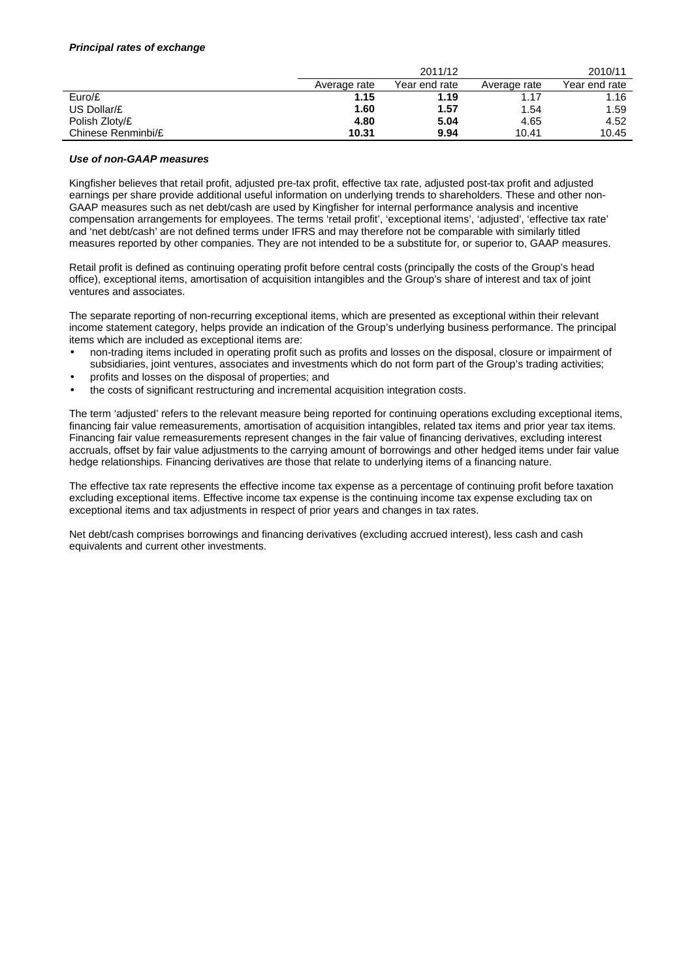#### **Principal rates of exchange**

|                    |              | 2011/12       |              | 2010/11       |
|--------------------|--------------|---------------|--------------|---------------|
|                    | Average rate | Year end rate | Average rate | Year end rate |
| Euro/E             | 1.15         | 1.19          | 1.17         | 1.16          |
| US Dollar/£        | 1.60         | 1.57          | 1.54         | 1.59          |
| Polish Zloty/£     | 4.80         | 5.04          | 4.65         | 4.52          |
| Chinese Renminbi/£ | 10.31        | 9.94          | 10.41        | 10.45         |

#### **Use of non-GAAP measures**

Kingfisher believes that retail profit, adjusted pre-tax profit, effective tax rate, adjusted post-tax profit and adjusted earnings per share provide additional useful information on underlying trends to shareholders. These and other non-GAAP measures such as net debt/cash are used by Kingfisher for internal performance analysis and incentive compensation arrangements for employees. The terms 'retail profit', 'exceptional items', 'adjusted', 'effective tax rate' and 'net debt/cash' are not defined terms under IFRS and may therefore not be comparable with similarly titled measures reported by other companies. They are not intended to be a substitute for, or superior to, GAAP measures.

Retail profit is defined as continuing operating profit before central costs (principally the costs of the Group's head office), exceptional items, amortisation of acquisition intangibles and the Group's share of interest and tax of joint ventures and associates.

The separate reporting of non-recurring exceptional items, which are presented as exceptional within their relevant income statement category, helps provide an indication of the Group's underlying business performance. The principal items which are included as exceptional items are:

- non-trading items included in operating profit such as profits and losses on the disposal, closure or impairment of subsidiaries, joint ventures, associates and investments which do not form part of the Group's trading activities;
- profits and losses on the disposal of properties; and
- the costs of significant restructuring and incremental acquisition integration costs.

The term 'adjusted' refers to the relevant measure being reported for continuing operations excluding exceptional items, financing fair value remeasurements, amortisation of acquisition intangibles, related tax items and prior year tax items. Financing fair value remeasurements represent changes in the fair value of financing derivatives, excluding interest accruals, offset by fair value adjustments to the carrying amount of borrowings and other hedged items under fair value hedge relationships. Financing derivatives are those that relate to underlying items of a financing nature.

The effective tax rate represents the effective income tax expense as a percentage of continuing profit before taxation excluding exceptional items. Effective income tax expense is the continuing income tax expense excluding tax on exceptional items and tax adjustments in respect of prior years and changes in tax rates.

Net debt/cash comprises borrowings and financing derivatives (excluding accrued interest), less cash and cash equivalents and current other investments.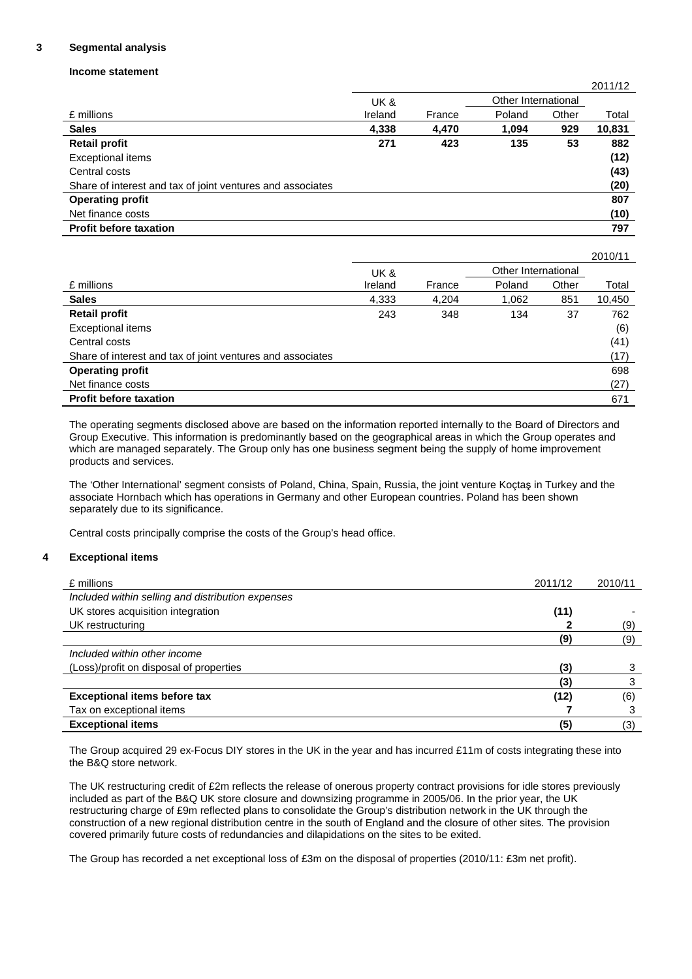#### **3 Segmental analysis**

#### **Income statement**

|                                                            |         |        |                     |       | <u>______</u> |
|------------------------------------------------------------|---------|--------|---------------------|-------|---------------|
|                                                            | UK &    |        | Other International |       |               |
| £ millions                                                 | Ireland | France | Poland              | Other | Total         |
| <b>Sales</b>                                               | 4,338   | 4,470  | 1,094               | 929   | 10,831        |
| <b>Retail profit</b>                                       | 271     | 423    | 135                 | 53    | 882           |
| Exceptional items                                          |         |        |                     |       | (12)          |
| Central costs                                              |         |        |                     |       | (43)          |
| Share of interest and tax of joint ventures and associates |         |        |                     |       | (20)          |
| <b>Operating profit</b>                                    |         |        |                     |       | 807           |
| Net finance costs                                          |         |        |                     |       | (10)          |
| <b>Profit before taxation</b>                              |         |        |                     |       | 797           |

|                                                            |         |        |                     |       | 2010/11 |
|------------------------------------------------------------|---------|--------|---------------------|-------|---------|
|                                                            | UK &    |        | Other International |       |         |
| £ millions                                                 | Ireland | France | Poland              | Other | Total   |
| <b>Sales</b>                                               | 4,333   | 4,204  | 1,062               | 851   | 10,450  |
| <b>Retail profit</b>                                       | 243     | 348    | 134                 | 37    | 762     |
| <b>Exceptional items</b>                                   |         |        |                     |       | (6)     |
| Central costs                                              |         |        |                     |       | (41)    |
| Share of interest and tax of joint ventures and associates |         |        |                     |       | (17)    |
| <b>Operating profit</b>                                    |         |        |                     |       | 698     |
| Net finance costs                                          |         |        |                     |       | (27)    |
| <b>Profit before taxation</b>                              |         |        |                     |       | 671     |

The operating segments disclosed above are based on the information reported internally to the Board of Directors and Group Executive. This information is predominantly based on the geographical areas in which the Group operates and which are managed separately. The Group only has one business segment being the supply of home improvement products and services.

The 'Other International' segment consists of Poland, China, Spain, Russia, the joint venture Koçtaş in Turkey and the associate Hornbach which has operations in Germany and other European countries. Poland has been shown separately due to its significance.

Central costs principally comprise the costs of the Group's head office.

#### **4 Exceptional items**

| £ millions                                        | 2011/12 | 2010/11 |
|---------------------------------------------------|---------|---------|
| Included within selling and distribution expenses |         |         |
| UK stores acquisition integration                 | (11)    |         |
| UK restructuring                                  |         | (9)     |
|                                                   | (9)     | (9)     |
| Included within other income                      |         |         |
| (Loss)/profit on disposal of properties           | (3)     | 3       |
|                                                   |         | 3       |
| <b>Exceptional items before tax</b>               | (12)    | (6)     |
| Tax on exceptional items                          |         | 3       |
| <b>Exceptional items</b>                          | (5)     | (3)     |

The Group acquired 29 ex-Focus DIY stores in the UK in the year and has incurred £11m of costs integrating these into the B&Q store network.

The UK restructuring credit of £2m reflects the release of onerous property contract provisions for idle stores previously included as part of the B&Q UK store closure and downsizing programme in 2005/06. In the prior year, the UK restructuring charge of £9m reflected plans to consolidate the Group's distribution network in the UK through the construction of a new regional distribution centre in the south of England and the closure of other sites. The provision covered primarily future costs of redundancies and dilapidations on the sites to be exited.

The Group has recorded a net exceptional loss of £3m on the disposal of properties (2010/11: £3m net profit).

2011/12

2010/11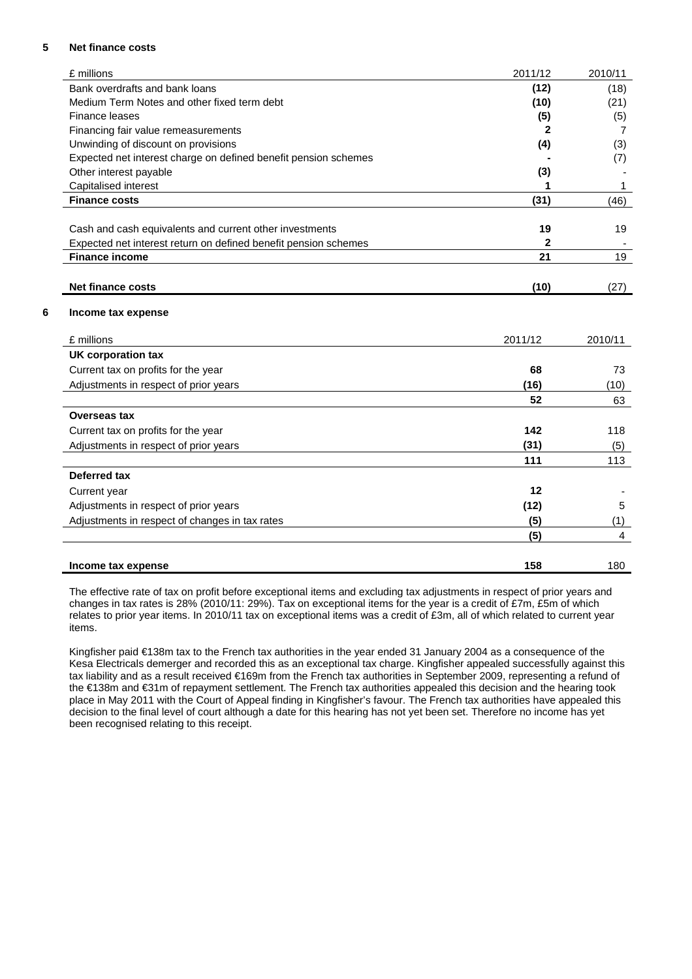#### **5 Net finance costs**

| £ millions                                                      | 2011/12 | 2010/11 |
|-----------------------------------------------------------------|---------|---------|
| Bank overdrafts and bank loans                                  | (12)    | (18)    |
| Medium Term Notes and other fixed term debt                     | (10)    | (21)    |
| Finance leases                                                  | (5)     | (5)     |
| Financing fair value remeasurements                             | 2       | 7       |
| Unwinding of discount on provisions                             | (4)     | (3)     |
| Expected net interest charge on defined benefit pension schemes |         | (7)     |
| Other interest payable                                          | (3)     |         |
| Capitalised interest                                            |         | 1       |
| <b>Finance costs</b>                                            | (31)    | (46)    |
| Cash and cash equivalents and current other investments         | 19      | 19      |
| Expected net interest return on defined benefit pension schemes | 2       |         |
| <b>Finance income</b>                                           | 21      | 19      |
| <b>Net finance costs</b>                                        | (10)    | (27)    |
| Income tax expense                                              |         |         |
| £ millions                                                      | 2011/12 | 2010/11 |
| <b>UK corporation tax</b>                                       |         |         |
| Current tax on profits for the year                             | 68      | 73      |
| Adjustments in respect of prior years                           | (16)    | (10)    |
|                                                                 | 52      | 63      |
| Overseas tax                                                    |         |         |
| Current tax on profits for the year                             | 142     | 118     |
| Adjustments in respect of prior years                           | (31)    | (5)     |
|                                                                 | 111     | 113     |
| Deferred tax                                                    |         |         |
| Current year                                                    | 12      |         |
| Adjustments in respect of prior years                           | (12)    | 5       |
| Adjustments in respect of changes in tax rates                  | (5)     | (1)     |
|                                                                 | (5)     | 4       |
| Income tax expense                                              | 158     | 180     |

The effective rate of tax on profit before exceptional items and excluding tax adjustments in respect of prior years and changes in tax rates is 28% (2010/11: 29%). Tax on exceptional items for the year is a credit of £7m, £5m of which relates to prior year items. In 2010/11 tax on exceptional items was a credit of £3m, all of which related to current year items.

Kingfisher paid €138m tax to the French tax authorities in the year ended 31 January 2004 as a consequence of the Kesa Electricals demerger and recorded this as an exceptional tax charge. Kingfisher appealed successfully against this tax liability and as a result received €169m from the French tax authorities in September 2009, representing a refund of the €138m and €31m of repayment settlement. The French tax authorities appealed this decision and the hearing took place in May 2011 with the Court of Appeal finding in Kingfisher's favour. The French tax authorities have appealed this decision to the final level of court although a date for this hearing has not yet been set. Therefore no income has yet been recognised relating to this receipt.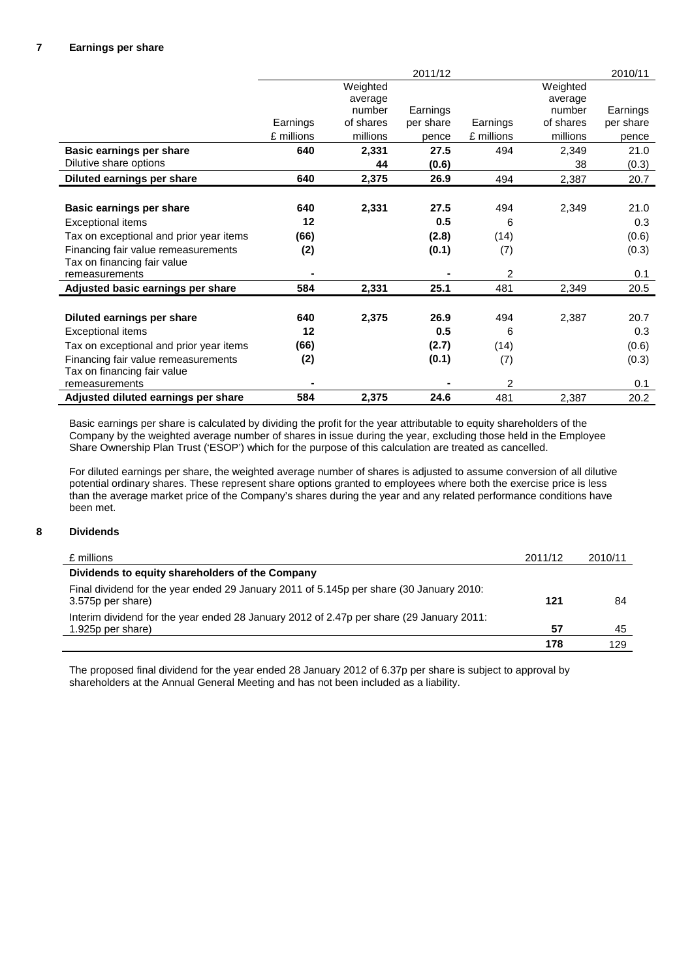|                                         |            |           | 2011/12   |            |           | 2010/11   |
|-----------------------------------------|------------|-----------|-----------|------------|-----------|-----------|
|                                         |            | Weighted  |           |            | Weighted  |           |
|                                         |            | average   |           |            | average   |           |
|                                         |            | number    | Earnings  |            | number    | Earnings  |
|                                         | Earnings   | of shares | per share | Earnings   | of shares | per share |
|                                         | £ millions | millions  | pence     | £ millions | millions  | pence     |
| Basic earnings per share                | 640        | 2,331     | 27.5      | 494        | 2,349     | 21.0      |
| Dilutive share options                  |            | 44        | (0.6)     |            | 38        | (0.3)     |
| Diluted earnings per share              | 640        | 2,375     | 26.9      | 494        | 2,387     | 20.7      |
|                                         |            |           |           |            |           |           |
| Basic earnings per share                | 640        | 2,331     | 27.5      | 494        | 2,349     | 21.0      |
| Exceptional items                       | 12         |           | 0.5       | 6          |           | 0.3       |
| Tax on exceptional and prior year items | (66)       |           | (2.8)     | (14)       |           | (0.6)     |
| Financing fair value remeasurements     | (2)        |           | (0.1)     | (7)        |           | (0.3)     |
| Tax on financing fair value             |            |           |           |            |           |           |
| remeasurements                          |            |           |           | 2          |           | 0.1       |
| Adjusted basic earnings per share       | 584        | 2,331     | 25.1      | 481        | 2,349     | 20.5      |
|                                         |            |           |           |            |           |           |
| Diluted earnings per share              | 640        | 2,375     | 26.9      | 494        | 2,387     | 20.7      |
| Exceptional items                       | 12         |           | 0.5       | 6          |           | 0.3       |
| Tax on exceptional and prior year items | (66)       |           | (2.7)     | (14)       |           | (0.6)     |
| Financing fair value remeasurements     | (2)        |           | (0.1)     | (7)        |           | (0.3)     |
| Tax on financing fair value             |            |           |           |            |           |           |
| remeasurements                          |            |           |           | 2          |           | 0.1       |
| Adjusted diluted earnings per share     | 584        | 2,375     | 24.6      | 481        | 2,387     | 20.2      |

Basic earnings per share is calculated by dividing the profit for the year attributable to equity shareholders of the Company by the weighted average number of shares in issue during the year, excluding those held in the Employee Share Ownership Plan Trust ('ESOP') which for the purpose of this calculation are treated as cancelled.

For diluted earnings per share, the weighted average number of shares is adjusted to assume conversion of all dilutive potential ordinary shares. These represent share options granted to employees where both the exercise price is less than the average market price of the Company's shares during the year and any related performance conditions have been met.

#### **8 Dividends**

| £ millions                                                                                                    | 2011/12 | 2010/11 |
|---------------------------------------------------------------------------------------------------------------|---------|---------|
| Dividends to equity shareholders of the Company                                                               |         |         |
| Final dividend for the year ended 29 January 2011 of 5.145p per share (30 January 2010:<br>3.575p per share)  | 121     | 84      |
| Interim dividend for the year ended 28 January 2012 of 2.47p per share (29 January 2011:<br>1.925p per share) | 57      | 45      |
|                                                                                                               | 178     | 129     |

The proposed final dividend for the year ended 28 January 2012 of 6.37p per share is subject to approval by shareholders at the Annual General Meeting and has not been included as a liability.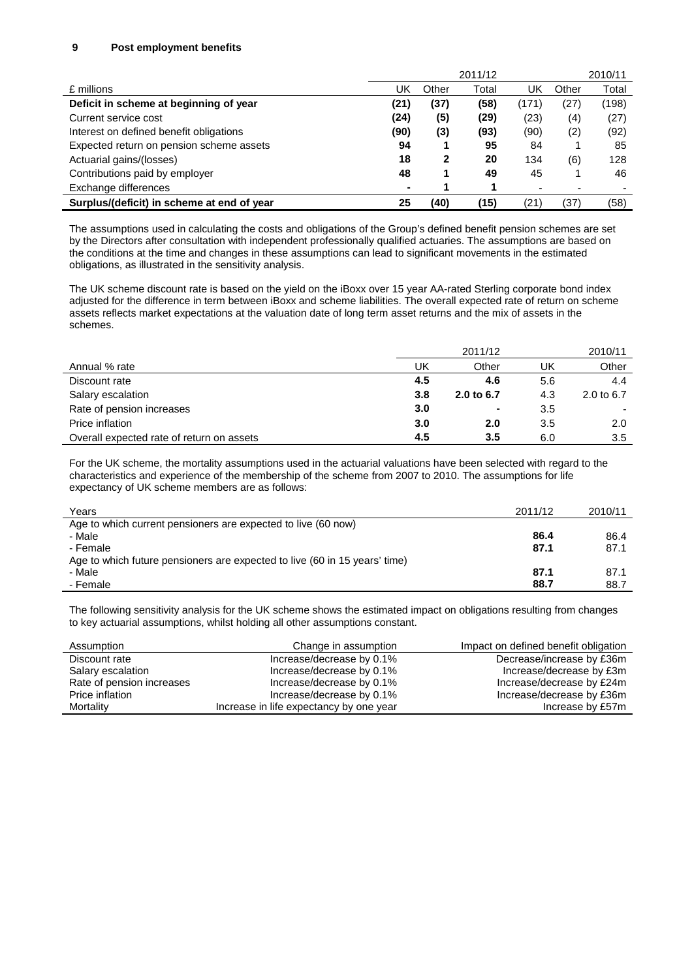#### **9 Post employment benefits**

|                                            |      |       | 2011/12 |               |       | 2010/11 |
|--------------------------------------------|------|-------|---------|---------------|-------|---------|
| £ millions                                 | UK   | Other | Total   | UK            | Other | Total   |
| Deficit in scheme at beginning of year     | (21) | (37)  | (58)    | (171)         | (27)  | (198)   |
| Current service cost                       | (24) | (5)   | (29)    | (23)          | (4)   | (27)    |
| Interest on defined benefit obligations    | (90) | (3)   | (93)    | (90)          | (2)   | (92)    |
| Expected return on pension scheme assets   | 94   |       | 95      | 84            |       | 85      |
| Actuarial gains/(losses)                   | 18   | 2     | 20      | 134           | (6)   | 128     |
| Contributions paid by employer             | 48   |       | 49      | 45            |       | 46      |
| Exchange differences                       |      |       |         |               |       |         |
| Surplus/(deficit) in scheme at end of year | 25   | (40)  | (15)    | $^{\prime}21$ | (37)  | (58)    |

The assumptions used in calculating the costs and obligations of the Group's defined benefit pension schemes are set by the Directors after consultation with independent professionally qualified actuaries. The assumptions are based on the conditions at the time and changes in these assumptions can lead to significant movements in the estimated obligations, as illustrated in the sensitivity analysis.

The UK scheme discount rate is based on the yield on the iBoxx over 15 year AA-rated Sterling corporate bond index adjusted for the difference in term between iBoxx and scheme liabilities. The overall expected rate of return on scheme assets reflects market expectations at the valuation date of long term asset returns and the mix of assets in the schemes.

|                                           |     | 2011/12    |     | 2010/11    |
|-------------------------------------------|-----|------------|-----|------------|
| Annual % rate                             | UK  | Other      | UK  | Other      |
| Discount rate                             | 4.5 | 4.6        | 5.6 | 4.4        |
| Salary escalation                         | 3.8 | 2.0 to 6.7 | 4.3 | 2.0 to 6.7 |
| Rate of pension increases                 | 3.0 | ۰          | 3.5 |            |
| Price inflation                           | 3.0 | 2.0        | 3.5 | 2.0        |
| Overall expected rate of return on assets | 4.5 | 3.5        | 6.0 | 3.5        |

For the UK scheme, the mortality assumptions used in the actuarial valuations have been selected with regard to the characteristics and experience of the membership of the scheme from 2007 to 2010. The assumptions for life expectancy of UK scheme members are as follows:

| Years                                                                      | 2011/12 | 2010/11 |
|----------------------------------------------------------------------------|---------|---------|
| Age to which current pensioners are expected to live (60 now)              |         |         |
| - Male                                                                     | 86.4    | 86.4    |
| - Female                                                                   | 87.1    | 87.1    |
| Age to which future pensioners are expected to live (60 in 15 years' time) |         |         |
| - Male                                                                     | 87.1    | 87.1    |
| - Female                                                                   | 88.7    | 88.7    |

The following sensitivity analysis for the UK scheme shows the estimated impact on obligations resulting from changes to key actuarial assumptions, whilst holding all other assumptions constant.

| Assumption                | Change in assumption                    | Impact on defined benefit obligation |
|---------------------------|-----------------------------------------|--------------------------------------|
| Discount rate             | Increase/decrease by 0.1%               | Decrease/increase by £36m            |
| Salary escalation         | Increase/decrease by 0.1%               | Increase/decrease by £3m             |
| Rate of pension increases | Increase/decrease by 0.1%               | Increase/decrease by £24m            |
| Price inflation           | Increase/decrease by 0.1%               | Increase/decrease by £36m            |
| Mortality                 | Increase in life expectancy by one year | Increase by £57m                     |